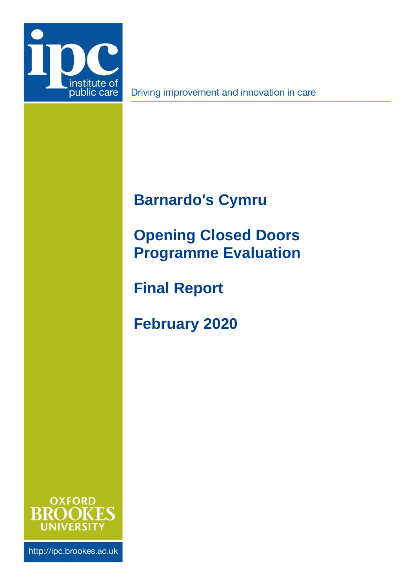<span id="page-0-3"></span>

Driving improvement and innovation in care

# <span id="page-0-4"></span><span id="page-0-2"></span>**Barnardo's Cymru**

# <span id="page-0-0"></span>**Opening Closed Doors Programme Evaluation**

**Final Report**

<span id="page-0-1"></span>**February 2020**



http://ipc.brookes.ac.uk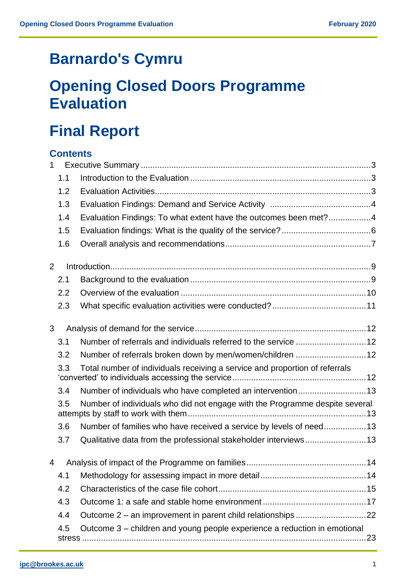# **[Barnardo's Cymru](#page-0-2)**

# **[Opening Closed Doors Programme](#page-0-0)  [Evaluation](#page-0-0)**

# **Final Report**

# **Contents**

| 1              |     |                                                                             |
|----------------|-----|-----------------------------------------------------------------------------|
|                | 1.1 |                                                                             |
|                | 1.2 |                                                                             |
|                | 1.3 |                                                                             |
|                | 1.4 | Evaluation Findings: To what extent have the outcomes been met?4            |
|                | 1.5 |                                                                             |
|                | 1.6 |                                                                             |
| 2              |     |                                                                             |
|                | 2.1 |                                                                             |
|                | 2.2 |                                                                             |
|                | 2.3 |                                                                             |
| 3              |     |                                                                             |
|                | 3.1 |                                                                             |
|                | 3.2 | Number of referrals broken down by men/women/children  12                   |
|                | 3.3 | Total number of individuals receiving a service and proportion of referrals |
|                | 3.4 | Number of individuals who have completed an intervention 13                 |
|                | 3.5 | Number of individuals who did not engage with the Programme despite several |
|                | 3.6 | Number of families who have received a service by levels of need13          |
|                | 3.7 | Qualitative data from the professional stakeholder interviews13             |
| $\overline{4}$ |     |                                                                             |
|                | 4.1 |                                                                             |
|                | 4.2 |                                                                             |
|                | 4.3 |                                                                             |
|                | 4.4 | Outcome 2 - an improvement in parent child relationships22                  |
|                | 4.5 | Outcome 3 – children and young people experience a reduction in emotional   |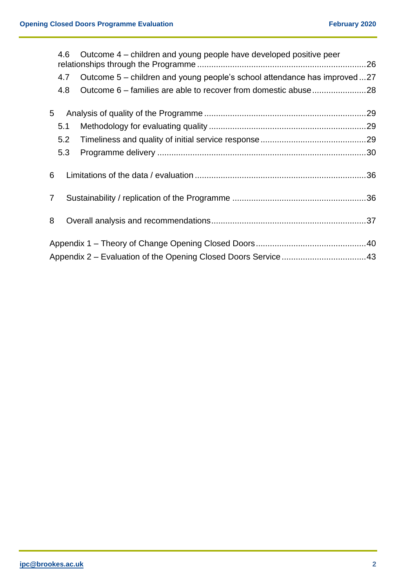|                | 4.6 | Outcome 4 – children and young people have developed positive peer        |  |
|----------------|-----|---------------------------------------------------------------------------|--|
|                | 4.7 | Outcome 5 – children and young people's school attendance has improved 27 |  |
|                | 4.8 |                                                                           |  |
| 5              |     |                                                                           |  |
|                | 5.1 |                                                                           |  |
|                | 5.2 |                                                                           |  |
|                | 5.3 |                                                                           |  |
| 6              |     |                                                                           |  |
| $\overline{7}$ |     |                                                                           |  |
| 8              |     |                                                                           |  |
|                |     |                                                                           |  |
|                |     |                                                                           |  |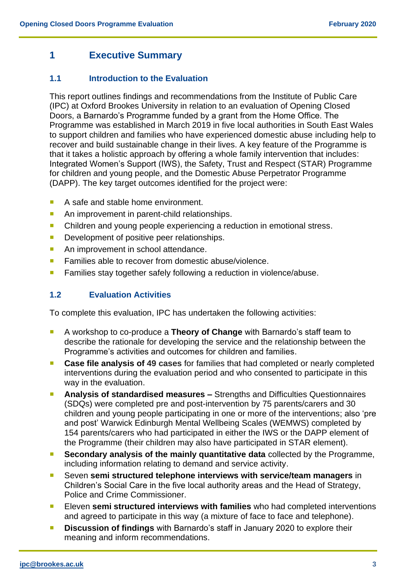# <span id="page-3-0"></span>**1 Executive Summary**

# <span id="page-3-1"></span>**1.1 Introduction to the Evaluation**

This report outlines findings and recommendations from the Institute of Public Care (IPC) at Oxford Brookes University in relation to an evaluation of Opening Closed Doors, a Barnardo's Programme funded by a grant from the Home Office. The Programme was established in March 2019 in five local authorities in South East Wales to support children and families who have experienced domestic abuse including help to recover and build sustainable change in their lives. A key feature of the Programme is that it takes a holistic approach by offering a whole family intervention that includes: Integrated Women's Support (IWS), the Safety, Trust and Respect (STAR) Programme for children and young people, and the Domestic Abuse Perpetrator Programme (DAPP). The key target outcomes identified for the project were:

- A safe and stable home environment.
- An improvement in parent-child relationships.
- Children and young people experiencing a reduction in emotional stress.
- **Development of positive peer relationships.**
- An improvement in school attendance.
- **Families able to recover from domestic abuse/violence.**
- **Families stay together safely following a reduction in violence/abuse.**

# <span id="page-3-2"></span>**1.2 Evaluation Activities**

To complete this evaluation, IPC has undertaken the following activities:

- A workshop to co-produce a **Theory of Change** with Barnardo's staff team to describe the rationale for developing the service and the relationship between the Programme's activities and outcomes for children and families.
- **Case file analysis of 49 cases** for families that had completed or nearly completed interventions during the evaluation period and who consented to participate in this way in the evaluation.
- **Analysis of standardised measures –** Strengths and Difficulties Questionnaires (SDQs) were completed pre and post-intervention by 75 parents/carers and 30 children and young people participating in one or more of the interventions; also 'pre and post' Warwick Edinburgh Mental Wellbeing Scales (WEMWS) completed by 154 parents/carers who had participated in either the IWS or the DAPP element of the Programme (their children may also have participated in STAR element).
- **Secondary analysis of the mainly quantitative data** collected by the Programme, including information relating to demand and service activity.
- Seven **semi structured telephone interviews with service/team managers** in Children's Social Care in the five local authority areas and the Head of Strategy, Police and Crime Commissioner.
- **Eleven semi structured interviews with families** who had completed interventions and agreed to participate in this way (a mixture of face to face and telephone).
- **Discussion of findings** with Barnardo's staff in January 2020 to explore their meaning and inform recommendations.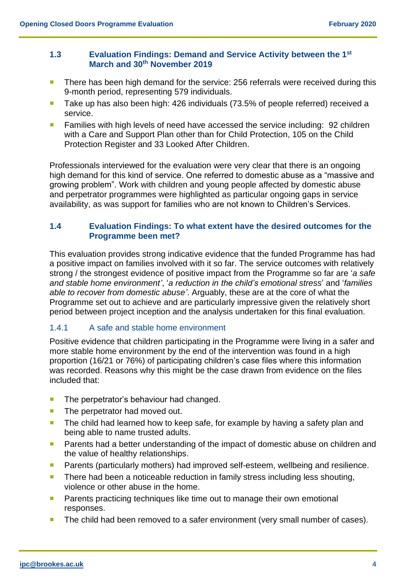#### <span id="page-4-0"></span>**1.3 Evaluation Findings: Demand and Service Activity between the 1st March and 30th November 2019**

- There has been high demand for the service: 256 referrals were received during this 9-month period, representing 579 individuals.
- Take up has also been high: 426 individuals (73.5% of people referred) received a service.
- **Families with high levels of need have accessed the service including: 92 children** with a Care and Support Plan other than for Child Protection, 105 on the Child Protection Register and 33 Looked After Children.

Professionals interviewed for the evaluation were very clear that there is an ongoing high demand for this kind of service. One referred to domestic abuse as a "massive and growing problem". Work with children and young people affected by domestic abuse and perpetrator programmes were highlighted as particular ongoing gaps in service availability, as was support for families who are not known to Children's Services.

# <span id="page-4-1"></span>**1.4 Evaluation Findings: To what extent have the desired outcomes for the Programme been met?**

This evaluation provides strong indicative evidence that the funded Programme has had a positive impact on families involved with it so far. The service outcomes with relatively strong / the strongest evidence of positive impact from the Programme so far are '*a safe and stable home environment'*, '*a reduction in the child's emotional stress*' and '*families able to recover from domestic abuse'*. Arguably, these are at the core of what the Programme set out to achieve and are particularly impressive given the relatively short period between project inception and the analysis undertaken for this final evaluation.

# 1.4.1 A safe and stable home environment

Positive evidence that children participating in the Programme were living in a safer and more stable home environment by the end of the intervention was found in a high proportion (16/21 or 76%) of participating children's case files where this information was recorded. Reasons why this might be the case drawn from evidence on the files included that:

- $\blacksquare$  The perpetrator's behaviour had changed.
- The perpetrator had moved out.
- **The child had learned how to keep safe, for example by having a safety plan and** being able to name trusted adults.
- **Parents had a better understanding of the impact of domestic abuse on children and** the value of healthy relationships.
- **Parents (particularly mothers) had improved self-esteem, wellbeing and resilience.**
- **There had been a noticeable reduction in family stress including less shouting,** violence or other abuse in the home.
- **Parents practicing techniques like time out to manage their own emotional** responses.
- The child had been removed to a safer environment (very small number of cases).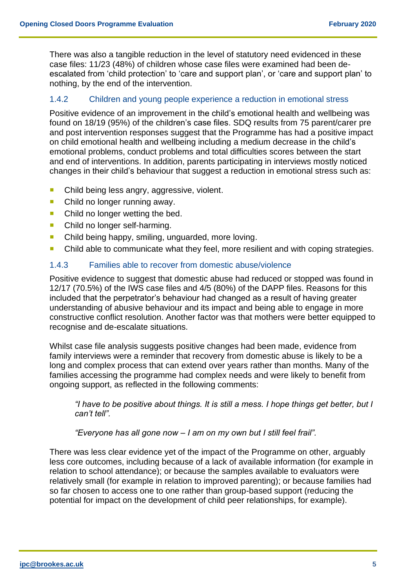There was also a tangible reduction in the level of statutory need evidenced in these case files: 11/23 (48%) of children whose case files were examined had been deescalated from 'child protection' to 'care and support plan', or 'care and support plan' to nothing, by the end of the intervention.

## 1.4.2 Children and young people experience a reduction in emotional stress

Positive evidence of an improvement in the child's emotional health and wellbeing was found on 18/19 (95%) of the children's case files. SDQ results from 75 parent/carer pre and post intervention responses suggest that the Programme has had a positive impact on child emotional health and wellbeing including a medium decrease in the child's emotional problems, conduct problems and total difficulties scores between the start and end of interventions. In addition, parents participating in interviews mostly noticed changes in their child's behaviour that suggest a reduction in emotional stress such as:

- Child being less angry, aggressive, violent.
- Child no longer running away.
- Child no longer wetting the bed.
- Child no longer self-harming.
- Child being happy, smiling, unguarded, more loving.
- Child able to communicate what they feel, more resilient and with coping strategies.

#### 1.4.3 Families able to recover from domestic abuse/violence

Positive evidence to suggest that domestic abuse had reduced or stopped was found in 12/17 (70.5%) of the IWS case files and 4/5 (80%) of the DAPP files. Reasons for this included that the perpetrator's behaviour had changed as a result of having greater understanding of abusive behaviour and its impact and being able to engage in more constructive conflict resolution. Another factor was that mothers were better equipped to recognise and de-escalate situations.

Whilst case file analysis suggests positive changes had been made, evidence from family interviews were a reminder that recovery from domestic abuse is likely to be a long and complex process that can extend over years rather than months. Many of the families accessing the programme had complex needs and were likely to benefit from ongoing support, as reflected in the following comments:

*"I have to be positive about things. It is still a mess. I hope things get better, but I can't tell".*

*"Everyone has all gone now – I am on my own but I still feel frail".*

There was less clear evidence yet of the impact of the Programme on other, arguably less core outcomes, including because of a lack of available information (for example in relation to school attendance); or because the samples available to evaluators were relatively small (for example in relation to improved parenting); or because families had so far chosen to access one to one rather than group-based support (reducing the potential for impact on the development of child peer relationships, for example).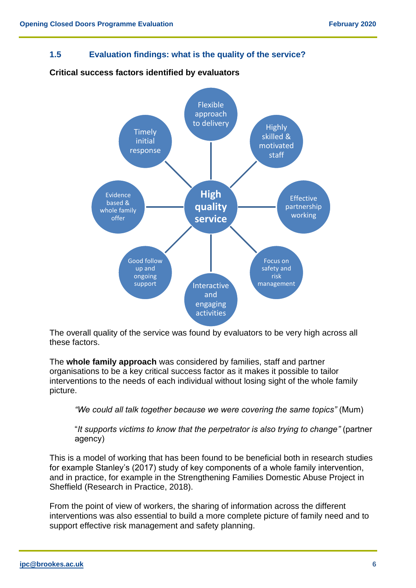<span id="page-6-0"></span>**1.5 Evaluation findings: what is the quality of the service?**



# **Critical success factors identified by evaluators**

The overall quality of the service was found by evaluators to be very high across all these factors.

The **whole family approach** was considered by families, staff and partner organisations to be a key critical success factor as it makes it possible to tailor interventions to the needs of each individual without losing sight of the whole family picture.

*"We could all talk together because we were covering the same topics"* (Mum)

"*It supports victims to know that the perpetrator is also trying to change"* (partner agency)

This is a model of working that has been found to be beneficial both in research studies for example Stanley's (2017) study of key components of a whole family intervention, and in practice, for example in the Strengthening Families Domestic Abuse Project in Sheffield (Research in Practice, 2018).

From the point of view of workers, the sharing of information across the different interventions was also essential to build a more complete picture of family need and to support effective risk management and safety planning.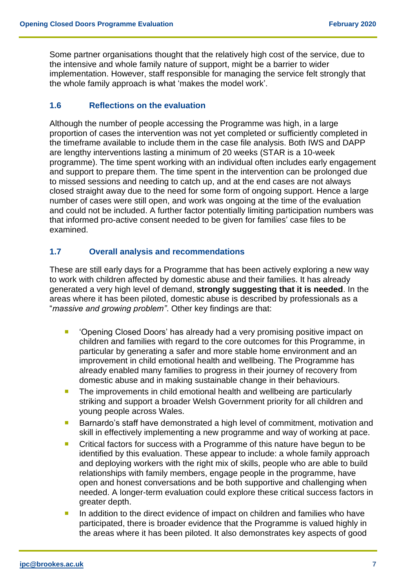Some partner organisations thought that the relatively high cost of the service, due to the intensive and whole family nature of support, might be a barrier to wider implementation. However, staff responsible for managing the service felt strongly that the whole family approach is what 'makes the model work'.

# **1.6 Reflections on the evaluation**

Although the number of people accessing the Programme was high, in a large proportion of cases the intervention was not yet completed or sufficiently completed in the timeframe available to include them in the case file analysis. Both IWS and DAPP are lengthy interventions lasting a minimum of 20 weeks (STAR is a 10-week programme). The time spent working with an individual often includes early engagement and support to prepare them. The time spent in the intervention can be prolonged due to missed sessions and needing to catch up, and at the end cases are not always closed straight away due to the need for some form of ongoing support. Hence a large number of cases were still open, and work was ongoing at the time of the evaluation and could not be included. A further factor potentially limiting participation numbers was that informed pro-active consent needed to be given for families' case files to be examined.

# <span id="page-7-0"></span>**1.7 Overall analysis and recommendations**

These are still early days for a Programme that has been actively exploring a new way to work with children affected by domestic abuse and their families. It has already generated a very high level of demand, **strongly suggesting that it is needed**. In the areas where it has been piloted, domestic abuse is described by professionals as a "*massive and growing problem"*. Other key findings are that:

- **•** 'Opening Closed Doors' has already had a very promising positive impact on children and families with regard to the core outcomes for this Programme, in particular by generating a safer and more stable home environment and an improvement in child emotional health and wellbeing. The Programme has already enabled many families to progress in their journey of recovery from domestic abuse and in making sustainable change in their behaviours.
- **The improvements in child emotional health and wellbeing are particularly** striking and support a broader Welsh Government priority for all children and young people across Wales.
- **Barnardo's staff have demonstrated a high level of commitment, motivation and** skill in effectively implementing a new programme and way of working at pace.
- Critical factors for success with a Programme of this nature have begun to be identified by this evaluation. These appear to include: a whole family approach and deploying workers with the right mix of skills, people who are able to build relationships with family members, engage people in the programme, have open and honest conversations and be both supportive and challenging when needed. A longer-term evaluation could explore these critical success factors in greater depth.
- In addition to the direct evidence of impact on children and families who have participated, there is broader evidence that the Programme is valued highly in the areas where it has been piloted. It also demonstrates key aspects of good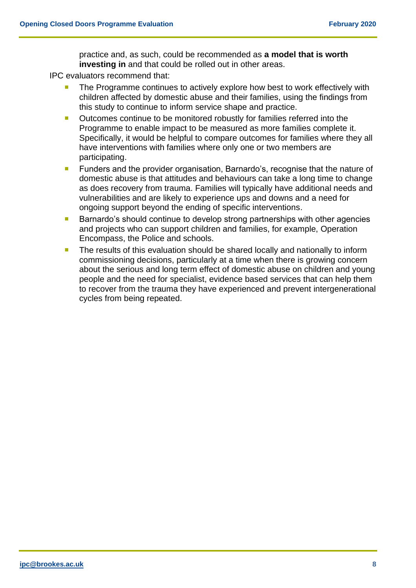practice and, as such, could be recommended as **a model that is worth investing in** and that could be rolled out in other areas.

IPC evaluators recommend that:

- The Programme continues to actively explore how best to work effectively with children affected by domestic abuse and their families, using the findings from this study to continue to inform service shape and practice.
- Outcomes continue to be monitored robustly for families referred into the Programme to enable impact to be measured as more families complete it. Specifically, it would be helpful to compare outcomes for families where they all have interventions with families where only one or two members are participating.
- Funders and the provider organisation, Barnardo's, recognise that the nature of domestic abuse is that attitudes and behaviours can take a long time to change as does recovery from trauma. Families will typically have additional needs and vulnerabilities and are likely to experience ups and downs and a need for ongoing support beyond the ending of specific interventions.
- Barnardo's should continue to develop strong partnerships with other agencies and projects who can support children and families, for example, Operation Encompass, the Police and schools.
- <span id="page-8-0"></span>The results of this evaluation should be shared locally and nationally to inform commissioning decisions, particularly at a time when there is growing concern about the serious and long term effect of domestic abuse on children and young people and the need for specialist, evidence based services that can help them to recover from the trauma they have experienced and prevent intergenerational cycles from being repeated.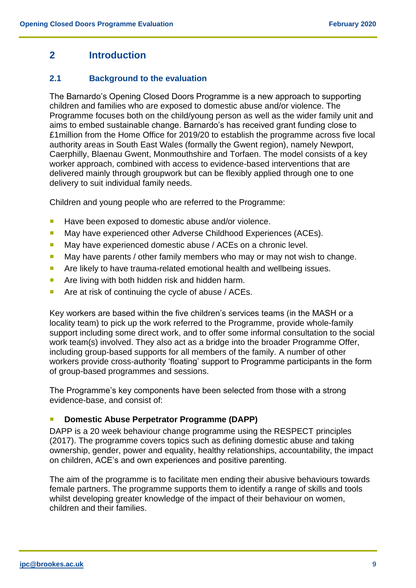# **2 Introduction**

# <span id="page-9-0"></span>**2.1 Background to the evaluation**

The Barnardo's Opening Closed Doors Programme is a new approach to supporting children and families who are exposed to domestic abuse and/or violence. The Programme focuses both on the child/young person as well as the wider family unit and aims to embed sustainable change. Barnardo's has received grant funding close to £1million from the Home Office for 2019/20 to establish the programme across five local authority areas in South East Wales (formally the Gwent region), namely Newport, Caerphilly, Blaenau Gwent, Monmouthshire and Torfaen. The model consists of a key worker approach, combined with access to evidence-based interventions that are delivered mainly through groupwork but can be flexibly applied through one to one delivery to suit individual family needs.

Children and young people who are referred to the Programme:

- **Have been exposed to domestic abuse and/or violence.**
- May have experienced other Adverse Childhood Experiences (ACEs).
- May have experienced domestic abuse / ACEs on a chronic level.
- May have parents / other family members who may or may not wish to change.
- **Are likely to have trauma-related emotional health and wellbeing issues.**
- **Are living with both hidden risk and hidden harm.**
- **Are at risk of continuing the cycle of abuse / ACEs.**

Key workers are based within the five children's services teams (in the MASH or a locality team) to pick up the work referred to the Programme, provide whole-family support including some direct work, and to offer some informal consultation to the social work team(s) involved. They also act as a bridge into the broader Programme Offer, including group-based supports for all members of the family. A number of other workers provide cross-authority 'floating' support to Programme participants in the form of group-based programmes and sessions.

The Programme's key components have been selected from those with a strong evidence-base, and consist of:

## **Domestic Abuse Perpetrator Programme (DAPP)**

DAPP is a 20 week behaviour change programme using the RESPECT principles (2017). The programme covers topics such as defining domestic abuse and taking ownership, gender, power and equality, healthy relationships, accountability, the impact on children, ACE's and own experiences and positive parenting.

The aim of the programme is to facilitate men ending their abusive behaviours towards female partners. The programme supports them to identify a range of skills and tools whilst developing greater knowledge of the impact of their behaviour on women, children and their families.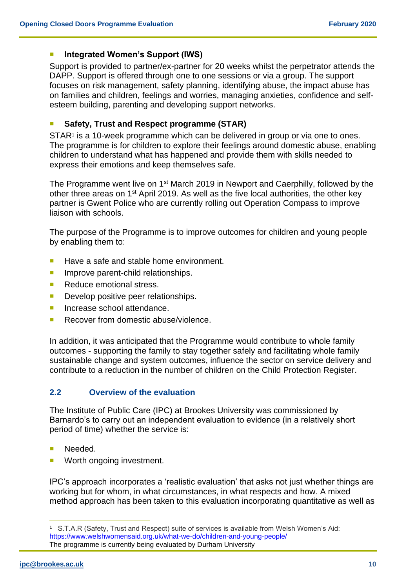## **Integrated Women's Support (IWS)**

Support is provided to partner/ex-partner for 20 weeks whilst the perpetrator attends the DAPP. Support is offered through one to one sessions or via a group. The support focuses on risk management, safety planning, identifying abuse, the impact abuse has on families and children, feelings and worries, managing anxieties, confidence and selfesteem building, parenting and developing support networks.

# **Safety, Trust and Respect programme (STAR)**

STAR<sup>1</sup> is a 10-week programme which can be delivered in group or via one to ones. The programme is for children to explore their feelings around domestic abuse, enabling children to understand what has happened and provide them with skills needed to express their emotions and keep themselves safe.

The Programme went live on 1<sup>st</sup> March 2019 in Newport and Caerphilly, followed by the other three areas on 1<sup>st</sup> April 2019. As well as the five local authorities, the other key partner is Gwent Police who are currently rolling out Operation Compass to improve liaison with schools.

The purpose of the Programme is to improve outcomes for children and young people by enabling them to:

- Have a safe and stable home environment.
- **Improve parent-child relationships.**
- Reduce emotional stress.
- Develop positive peer relationships.
- **Increase school attendance.**
- Recover from domestic abuse/violence.

In addition, it was anticipated that the Programme would contribute to whole family outcomes - supporting the family to stay together safely and facilitating whole family sustainable change and system outcomes, influence the sector on service delivery and contribute to a reduction in the number of children on the Child Protection Register.

# <span id="page-10-0"></span>**2.2 Overview of the evaluation**

The Institute of Public Care (IPC) at Brookes University was commissioned by Barnardo's to carry out an independent evaluation to evidence (in a relatively short period of time) whether the service is:

- Needed.
- Worth ongoing investment.

IPC's approach incorporates a 'realistic evaluation' that asks not just whether things are working but for whom, in what circumstances, in what respects and how. A mixed method approach has been taken to this evaluation incorporating quantitative as well as

<sup>1</sup> S.T.A.R (Safety, Trust and Respect) suite of services is available from Welsh Women's Aid: <https://www.welshwomensaid.org.uk/what-we-do/children-and-young-people/> The programme is currently being evaluated by Durham University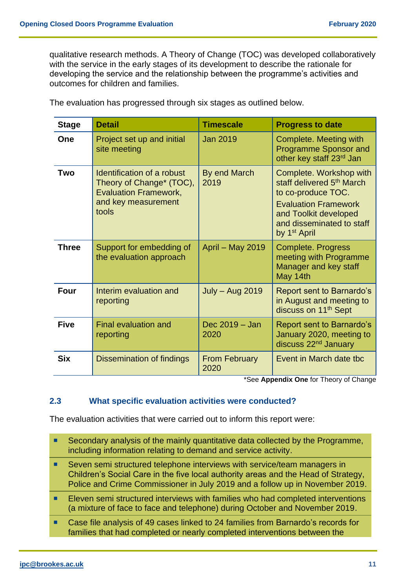qualitative research methods. A Theory of Change (TOC) was developed collaboratively with the service in the early stages of its development to describe the rationale for developing the service and the relationship between the programme's activities and outcomes for children and families.

| <b>Stage</b> | <b>Detail</b>                                                                                                          | <b>Timescale</b>             | <b>Progress to date</b>                                                                                                                                                                                 |
|--------------|------------------------------------------------------------------------------------------------------------------------|------------------------------|---------------------------------------------------------------------------------------------------------------------------------------------------------------------------------------------------------|
| One          | Project set up and initial<br>site meeting                                                                             | <b>Jan 2019</b>              | Complete. Meeting with<br><b>Programme Sponsor and</b><br>other key staff 23 <sup>rd</sup> Jan                                                                                                          |
| Two          | Identification of a robust<br>Theory of Change* (TOC),<br><b>Evaluation Framework,</b><br>and key measurement<br>tools | By end March<br>2019         | Complete. Workshop with<br>staff delivered 5 <sup>th</sup> March<br>to co-produce TOC.<br><b>Evaluation Framework</b><br>and Toolkit developed<br>and disseminated to staff<br>by 1 <sup>st</sup> April |
| <b>Three</b> | Support for embedding of<br>the evaluation approach                                                                    | April - May 2019             | <b>Complete. Progress</b><br>meeting with Programme<br>Manager and key staff<br>May 14th                                                                                                                |
| Four         | Interim evaluation and<br>reporting                                                                                    | <b>July – Aug 2019</b>       | Report sent to Barnardo's<br>in August and meeting to<br>discuss on 11 <sup>th</sup> Sept                                                                                                               |
| <b>Five</b>  | <b>Final evaluation and</b><br>reporting                                                                               | Dec 2019 - Jan<br>2020       | Report sent to Barnardo's<br>January 2020, meeting to<br>discuss 22 <sup>nd</sup> January                                                                                                               |
| <b>Six</b>   | Dissemination of findings                                                                                              | <b>From February</b><br>2020 | Event in March date tbc                                                                                                                                                                                 |

The evaluation has progressed through six stages as outlined below.

\*See **Appendix One** for Theory of Change

# <span id="page-11-0"></span>**2.3 What specific evaluation activities were conducted?**

The evaluation activities that were carried out to inform this report were:

- Secondary analysis of the mainly quantitative data collected by the Programme, including information relating to demand and service activity.
- Seven semi structured telephone interviews with service/team managers in Children's Social Care in the five local authority areas and the Head of Strategy, Police and Crime Commissioner in July 2019 and a follow up in November 2019.
- **Eleven semi structured interviews with families who had completed interventions** (a mixture of face to face and telephone) during October and November 2019.
- Case file analysis of 49 cases linked to 24 families from Barnardo's records for families that had completed or nearly completed interventions between the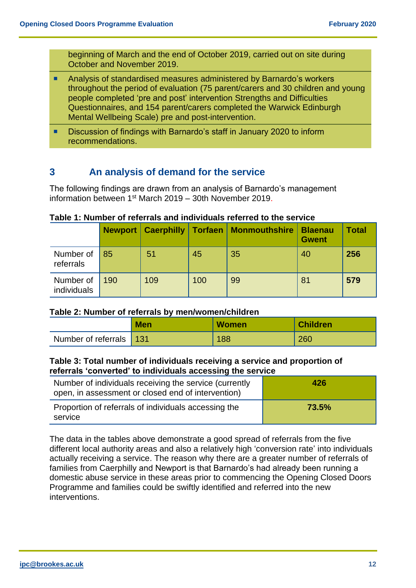beginning of March and the end of October 2019, carried out on site during October and November 2019.

- Analysis of standardised measures administered by Barnardo's workers throughout the period of evaluation (75 parent/carers and 30 children and young people completed 'pre and post' intervention Strengths and Difficulties Questionnaires, and 154 parent/carers completed the Warwick Edinburgh Mental Wellbeing Scale) pre and post-intervention.
- Discussion of findings with Barnardo's staff in January 2020 to inform recommendations.

# <span id="page-12-0"></span>**3 An analysis of demand for the service**

The following findings are drawn from an analysis of Barnardo's management information between 1st March 2019 – 30th November 2019.

## <span id="page-12-1"></span>**Table 1: Number of referrals and individuals referred to the service**

|                          |     | <b>Newport   Caerphilly   Torfaen</b> |     | <b>Monmouthshire</b> | <b>Blaenau</b><br><b>Gwent</b> | <b>Total</b> |
|--------------------------|-----|---------------------------------------|-----|----------------------|--------------------------------|--------------|
| Number of<br>referrals   | 85  | 51                                    | 45  | 35                   | 40                             | 256          |
| Number of<br>individuals | 190 | 109                                   | 100 | 99                   | 81                             | 579          |

#### <span id="page-12-2"></span>**Table 2: Number of referrals by men/women/children**

|                         | <b>Men</b> | <b>Women</b> | <b>Children</b> |
|-------------------------|------------|--------------|-----------------|
| Number of referrals 131 |            | 188          | 260             |

# <span id="page-12-3"></span>**Table 3: Total number of individuals receiving a service and proportion of referrals 'converted' to individuals accessing the service**

| Number of individuals receiving the service (currently<br>open, in assessment or closed end of intervention) | 426   |
|--------------------------------------------------------------------------------------------------------------|-------|
| Proportion of referrals of individuals accessing the<br>service                                              | 73.5% |

<span id="page-12-4"></span>The data in the tables above demonstrate a good spread of referrals from the five different local authority areas and also a relatively high 'conversion rate' into individuals actually receiving a service. The reason why there are a greater number of referrals of families from Caerphilly and Newport is that Barnardo's had already been running a domestic abuse service in these areas prior to commencing the Opening Closed Doors Programme and families could be swiftly identified and referred into the new interventions.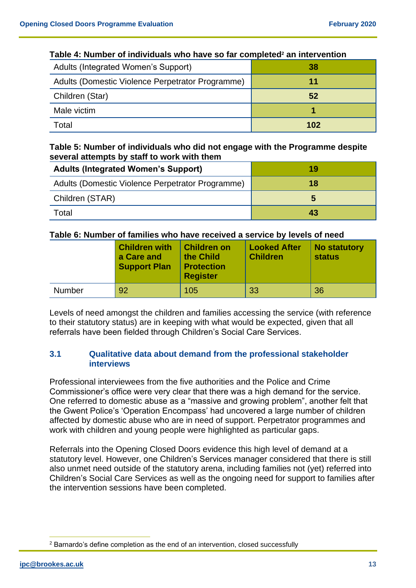| $1800$ T. Hannot of marriaggio mio navo oo igi vompictoa an miorvontion |     |  |  |
|-------------------------------------------------------------------------|-----|--|--|
| Adults (Integrated Women's Support)                                     | -38 |  |  |
| Adults (Domestic Violence Perpetrator Programme)                        | 11  |  |  |
| Children (Star)                                                         | 52  |  |  |
| Male victim                                                             |     |  |  |
| Total                                                                   | 102 |  |  |

## **Table 4: Number of individuals who have so far completed<sup>2</sup> an intervention**

# <span id="page-13-0"></span>**Table 5: Number of individuals who did not engage with the Programme despite several attempts by staff to work with them**

| <b>Adults (Integrated Women's Support)</b>       | 19 |
|--------------------------------------------------|----|
| Adults (Domestic Violence Perpetrator Programme) | 18 |
| Children (STAR)                                  | э  |
| Гоtal                                            | 43 |

# <span id="page-13-1"></span>**Table 6: Number of families who have received a service by levels of need**

|               | <b>Children with</b><br>a Care and<br><b>Support Plan</b> | <b>Children on</b><br>the Child<br><b>Protection</b><br><b>Register</b> | <b>Looked After</b><br><b>Children</b> | <b>No statutory</b><br><b>status</b> |
|---------------|-----------------------------------------------------------|-------------------------------------------------------------------------|----------------------------------------|--------------------------------------|
| <b>Number</b> | 92                                                        | 105                                                                     | 33                                     | 36                                   |

Levels of need amongst the children and families accessing the service (with reference to their statutory status) are in keeping with what would be expected, given that all referrals have been fielded through Children's Social Care Services.

# <span id="page-13-2"></span>**3.1 Qualitative data about demand from the professional stakeholder interviews**

Professional interviewees from the five authorities and the Police and Crime Commissioner's office were very clear that there was a high demand for the service. One referred to domestic abuse as a "massive and growing problem", another felt that the Gwent Police's 'Operation Encompass' had uncovered a large number of children affected by domestic abuse who are in need of support. Perpetrator programmes and work with children and young people were highlighted as particular gaps.

Referrals into the Opening Closed Doors evidence this high level of demand at a statutory level. However, one Children's Services manager considered that there is still also unmet need outside of the statutory arena, including families not (yet) referred into Children's Social Care Services as well as the ongoing need for support to families after the intervention sessions have been completed.

<sup>2</sup> Barnardo's define completion as the end of an intervention, closed successfully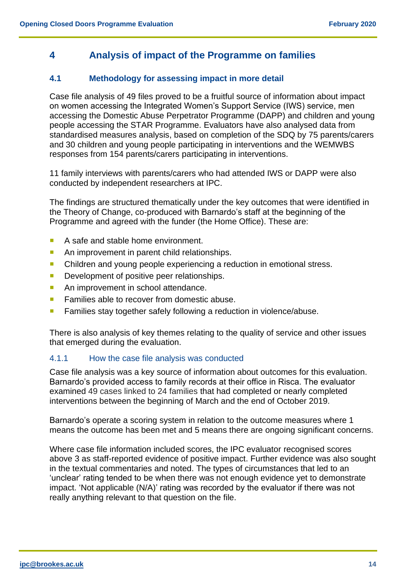# <span id="page-14-0"></span>**4 Analysis of impact of the Programme on families**

# <span id="page-14-1"></span>**4.1 Methodology for assessing impact in more detail**

Case file analysis of 49 files proved to be a fruitful source of information about impact on women accessing the Integrated Women's Support Service (IWS) service, men accessing the Domestic Abuse Perpetrator Programme (DAPP) and children and young people accessing the STAR Programme. Evaluators have also analysed data from standardised measures analysis, based on completion of the SDQ by 75 parents/carers and 30 children and young people participating in interventions and the WEMWBS responses from 154 parents/carers participating in interventions.

11 family interviews with parents/carers who had attended IWS or DAPP were also conducted by independent researchers at IPC.

The findings are structured thematically under the key outcomes that were identified in the Theory of Change, co-produced with Barnardo's staff at the beginning of the Programme and agreed with the funder (the Home Office). These are:

- A safe and stable home environment.
- An improvement in parent child relationships.
- Children and young people experiencing a reduction in emotional stress.
- Development of positive peer relationships.
- An improvement in school attendance.
- **Families able to recover from domestic abuse.**
- **Families stay together safely following a reduction in violence/abuse.**

There is also analysis of key themes relating to the quality of service and other issues that emerged during the evaluation.

#### 4.1.1 How the case file analysis was conducted

Case file analysis was a key source of information about outcomes for this evaluation. Barnardo's provided access to family records at their office in Risca. The evaluator examined 49 cases linked to 24 families that had completed or nearly completed interventions between the beginning of March and the end of October 2019.

Barnardo's operate a scoring system in relation to the outcome measures where 1 means the outcome has been met and 5 means there are ongoing significant concerns.

<span id="page-14-2"></span>Where case file information included scores, the IPC evaluator recognised scores above 3 as staff-reported evidence of positive impact. Further evidence was also sought in the textual commentaries and noted. The types of circumstances that led to an 'unclear' rating tended to be when there was not enough evidence yet to demonstrate impact. 'Not applicable (N/A)' rating was recorded by the evaluator if there was not really anything relevant to that question on the file.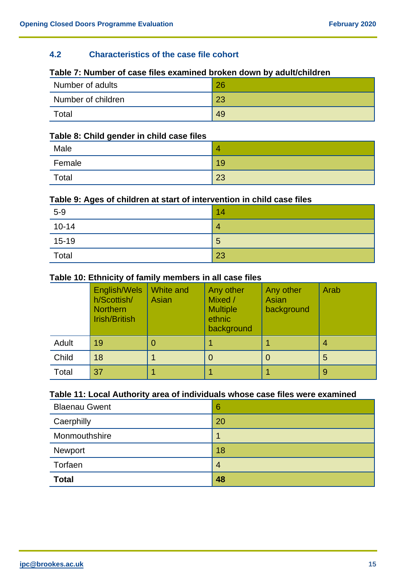# **4.2 Characteristics of the case file cohort**

# **Table 7: Number of case files examined broken down by adult/children**

| Number of adults   | 26 |
|--------------------|----|
| Number of children | 23 |
| Total              | 49 |

#### **Table 8: Child gender in child case files**

| Male   | z. |
|--------|----|
| Female | 19 |
| Total  | 23 |

# **Table 9: Ages of children at start of intervention in child case files**

| $5-9$     | 14             |
|-----------|----------------|
| $10 - 14$ | 4              |
| $15-19$   | $\overline{5}$ |
| Total     | 23             |

#### **Table 10: Ethnicity of family members in all case files**

|       | English/Wels<br>h/Scottish/<br><b>Northern</b><br><b>Irish/British</b> | White and<br>Asian | Any other<br>Mixed /<br><b>Multiple</b><br>ethnic<br>background | Any other<br>Asian<br>background | Arab |
|-------|------------------------------------------------------------------------|--------------------|-----------------------------------------------------------------|----------------------------------|------|
| Adult | 19                                                                     |                    |                                                                 |                                  |      |
| Child | 18                                                                     |                    |                                                                 |                                  | 5    |
| Total | 37                                                                     |                    |                                                                 |                                  | 9    |

# **Table 11: Local Authority area of individuals whose case files were examined**

| <b>Blaenau Gwent</b> | 6              |
|----------------------|----------------|
| Caerphilly           | 20             |
| Monmouthshire        |                |
| Newport              | 18             |
| Torfaen              | $\overline{4}$ |
| <b>Total</b>         | 48             |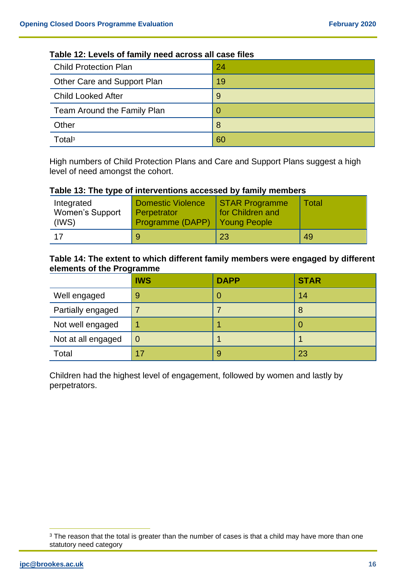| <b>Child Protection Plan</b> | 24 |  |  |
|------------------------------|----|--|--|
| Other Care and Support Plan  | 19 |  |  |
| <b>Child Looked After</b>    | 9  |  |  |
| Team Around the Family Plan  |    |  |  |
| Other                        | 8  |  |  |
| Total <sup>3</sup>           | 60 |  |  |

# **Table 12: Levels of family need across all case files**

High numbers of Child Protection Plans and Care and Support Plans suggest a high level of need amongst the cohort.

#### **Table 13: The type of interventions accessed by family members**

| Integrated<br><b>Women's Support</b><br>(IWS) | <b>Domestic Violence</b><br>Perpetrator<br>Programme (DAPP) Young People | STAR Programme<br>for Children and | Total |
|-----------------------------------------------|--------------------------------------------------------------------------|------------------------------------|-------|
| 17                                            | 9                                                                        | 23                                 | 49    |

#### **Table 14: The extent to which different family members were engaged by different elements of the Programme**

|                    | <b>IWS</b>     | <b>DAPP</b>    | <b>STAR</b> |
|--------------------|----------------|----------------|-------------|
| Well engaged       | 9              | O              | 14          |
| Partially engaged  |                |                | 8           |
| Not well engaged   |                |                |             |
| Not at all engaged | $\overline{0}$ |                |             |
| Total              | 17             | $\overline{9}$ | 23          |

Children had the highest level of engagement, followed by women and lastly by perpetrators.

<sup>&</sup>lt;sup>3</sup> The reason that the total is greater than the number of cases is that a child may have more than one statutory need category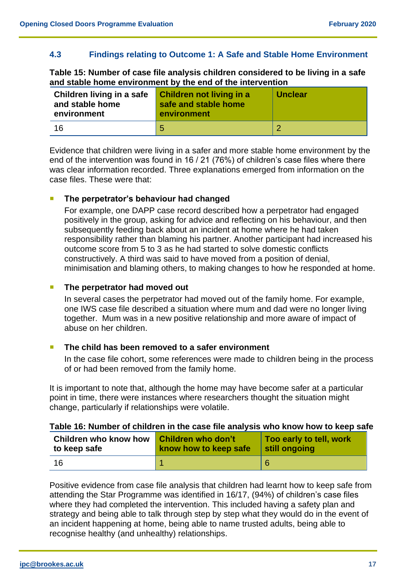# <span id="page-17-0"></span>**4.3 Findings relating to Outcome 1: A Safe and Stable Home Environment**

**Table 15: Number of case file analysis children considered to be living in a safe and stable home environment by the end of the intervention**

| Children living in a safe<br>and stable home<br>environment | <b>Children not living in a</b><br>safe and stable home<br>environment | <b>Unclear</b> |
|-------------------------------------------------------------|------------------------------------------------------------------------|----------------|
| 16                                                          | 5                                                                      |                |

Evidence that children were living in a safer and more stable home environment by the end of the intervention was found in 16 / 21 (76%) of children's case files where there was clear information recorded. Three explanations emerged from information on the case files. These were that:

## **The perpetrator's behaviour had changed**

For example, one DAPP case record described how a perpetrator had engaged positively in the group, asking for advice and reflecting on his behaviour, and then subsequently feeding back about an incident at home where he had taken responsibility rather than blaming his partner. Another participant had increased his outcome score from 5 to 3 as he had started to solve domestic conflicts constructively. A third was said to have moved from a position of denial, minimisation and blaming others, to making changes to how he responded at home.

# **The perpetrator had moved out**

In several cases the perpetrator had moved out of the family home. For example, one IWS case file described a situation where mum and dad were no longer living together. Mum was in a new positive relationship and more aware of impact of abuse on her children.

#### **The child has been removed to a safer environment**

In the case file cohort, some references were made to children being in the process of or had been removed from the family home.

It is important to note that, although the home may have become safer at a particular point in time, there were instances where researchers thought the situation might change, particularly if relationships were volatile.

#### **Table 16: Number of children in the case file analysis who know how to keep safe**

| Children who know how | <b>Children who don't</b> | Too early to tell, work |
|-----------------------|---------------------------|-------------------------|
| to keep safe          | know how to keep safe     | still ongoing           |
| 16                    |                           | 6                       |

Positive evidence from case file analysis that children had learnt how to keep safe from attending the Star Programme was identified in 16/17, (94%) of children's case files where they had completed the intervention. This included having a safety plan and strategy and being able to talk through step by step what they would do in the event of an incident happening at home, being able to name trusted adults, being able to recognise healthy (and unhealthy) relationships.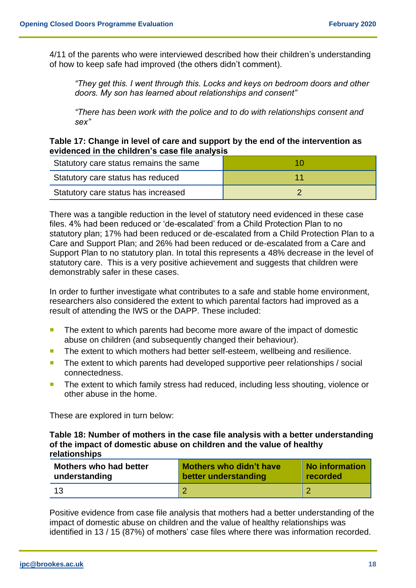4/11 of the parents who were interviewed described how their children's understanding of how to keep safe had improved (the others didn't comment).

*"They get this. I went through this. Locks and keys on bedroom doors and other doors. My son has learned about relationships and consent"*

*"There has been work with the police and to do with relationships consent and sex"*

## **Table 17: Change in level of care and support by the end of the intervention as evidenced in the children's case file analysis**

| Statutory care status remains the same |  |
|----------------------------------------|--|
| Statutory care status has reduced      |  |
| Statutory care status has increased    |  |

There was a tangible reduction in the level of statutory need evidenced in these case files. 4% had been reduced or 'de-escalated' from a Child Protection Plan to no statutory plan; 17% had been reduced or de-escalated from a Child Protection Plan to a Care and Support Plan; and 26% had been reduced or de-escalated from a Care and Support Plan to no statutory plan. In total this represents a 48% decrease in the level of statutory care. This is a very positive achievement and suggests that children were demonstrably safer in these cases.

In order to further investigate what contributes to a safe and stable home environment, researchers also considered the extent to which parental factors had improved as a result of attending the IWS or the DAPP. These included:

- The extent to which parents had become more aware of the impact of domestic abuse on children (and subsequently changed their behaviour).
- The extent to which mothers had better self-esteem, wellbeing and resilience.
- The extent to which parents had developed supportive peer relationships / social connectedness.
- **The extent to which family stress had reduced, including less shouting, violence or** other abuse in the home.

These are explored in turn below:

**Table 18: Number of mothers in the case file analysis with a better understanding of the impact of domestic abuse on children and the value of healthy relationships**

| <b>Mothers who had better</b> | <b>Mothers who didn't have</b> | No information |
|-------------------------------|--------------------------------|----------------|
| understanding                 | better understanding           | recorded       |
| 13                            |                                |                |

Positive evidence from case file analysis that mothers had a better understanding of the impact of domestic abuse on children and the value of healthy relationships was identified in 13 / 15 (87%) of mothers' case files where there was information recorded.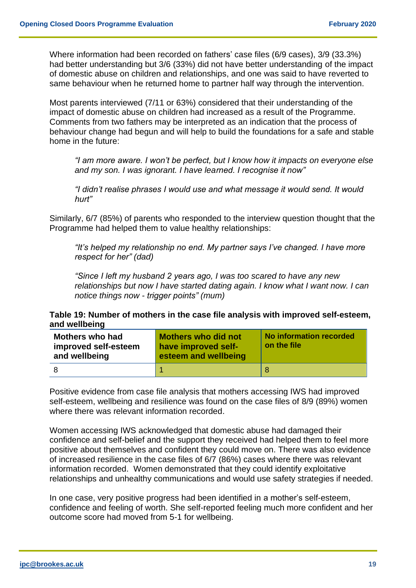Where information had been recorded on fathers' case files (6/9 cases), 3/9 (33.3%) had better understanding but 3/6 (33%) did not have better understanding of the impact of domestic abuse on children and relationships, and one was said to have reverted to same behaviour when he returned home to partner half way through the intervention.

Most parents interviewed (7/11 or 63%) considered that their understanding of the impact of domestic abuse on children had increased as a result of the Programme. Comments from two fathers may be interpreted as an indication that the process of behaviour change had begun and will help to build the foundations for a safe and stable home in the future:

*"I am more aware. I won't be perfect, but I know how it impacts on everyone else and my son. I was ignorant. I have learned. I recognise it now"* 

*"I didn't realise phrases I would use and what message it would send. It would hurt"*

Similarly, 6/7 (85%) of parents who responded to the interview question thought that the Programme had helped them to value healthy relationships:

*"It's helped my relationship no end. My partner says I've changed. I have more respect for her" (dad)*

*"Since I left my husband 2 years ago, I was too scared to have any new relationships but now I have started dating again. I know what I want now. I can notice things now - trigger points" (mum)*

#### **Table 19: Number of mothers in the case file analysis with improved self-esteem, and wellbeing**

| <b>Mothers who had</b><br>improved self-esteem<br>and wellbeing | <b>Mothers who did not</b><br>have improved self-<br>esteem and wellbeing | No information recorded<br>on the file |
|-----------------------------------------------------------------|---------------------------------------------------------------------------|----------------------------------------|
|                                                                 |                                                                           |                                        |

Positive evidence from case file analysis that mothers accessing IWS had improved self-esteem, wellbeing and resilience was found on the case files of 8/9 (89%) women where there was relevant information recorded.

Women accessing IWS acknowledged that domestic abuse had damaged their confidence and self-belief and the support they received had helped them to feel more positive about themselves and confident they could move on. There was also evidence of increased resilience in the case files of 6/7 (86%) cases where there was relevant information recorded. Women demonstrated that they could identify exploitative relationships and unhealthy communications and would use safety strategies if needed.

In one case, very positive progress had been identified in a mother's self-esteem, confidence and feeling of worth. She self-reported feeling much more confident and her outcome score had moved from 5-1 for wellbeing.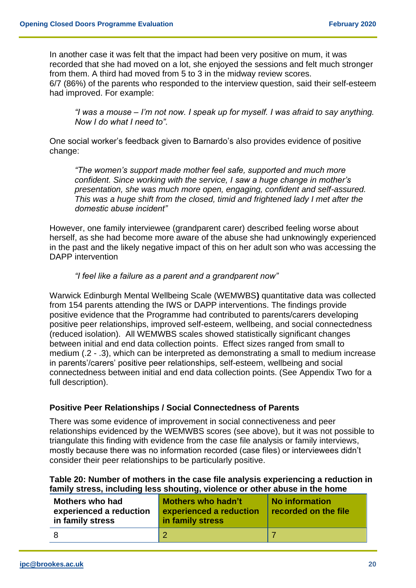In another case it was felt that the impact had been very positive on mum, it was recorded that she had moved on a lot, she enjoyed the sessions and felt much stronger from them. A third had moved from 5 to 3 in the midway review scores.

6/7 (86%) of the parents who responded to the interview question, said their self-esteem had improved. For example:

*"I was a mouse – I'm not now. I speak up for myself. I was afraid to say anything. Now I do what I need to".*

One social worker's feedback given to Barnardo's also provides evidence of positive change:

*"The women's support made mother feel safe, supported and much more confident. Since working with the service, I saw a huge change in mother's presentation, she was much more open, engaging, confident and self-assured. This was a huge shift from the closed, timid and frightened lady I met after the domestic abuse incident"* 

However, one family interviewee (grandparent carer) described feeling worse about herself, as she had become more aware of the abuse she had unknowingly experienced in the past and the likely negative impact of this on her adult son who was accessing the DAPP intervention

## *"I feel like a failure as a parent and a grandparent now"*

Warwick Edinburgh Mental Wellbeing Scale (WEMWBS**)** quantitative data was collected from 154 parents attending the IWS or DAPP interventions. The findings provide positive evidence that the Programme had contributed to parents/carers developing positive peer relationships, improved self-esteem, wellbeing, and social connectedness (reduced isolation). All WEMWBS scales showed statistically significant changes between initial and end data collection points. Effect sizes ranged from small to medium (.2 - .3), which can be interpreted as demonstrating a small to medium increase in parents'/carers' positive peer relationships, self-esteem, wellbeing and social connectedness between initial and end data collection points. (See Appendix Two for a full description).

# **Positive Peer Relationships / Social Connectedness of Parents**

There was some evidence of improvement in social connectiveness and peer relationships evidenced by the WEMWBS scores (see above), but it was not possible to triangulate this finding with evidence from the case file analysis or family interviews, mostly because there was no information recorded (case files) or interviewees didn't consider their peer relationships to be particularly positive.

#### **Table 20: Number of mothers in the case file analysis experiencing a reduction in family stress, including less shouting, violence or other abuse in the home**

| <b>Mothers who had</b><br>experienced a reduction<br>in family stress | Mothers who hadn't<br>experienced a reduction<br>in family stress | No information<br>recorded on the file |
|-----------------------------------------------------------------------|-------------------------------------------------------------------|----------------------------------------|
|                                                                       |                                                                   |                                        |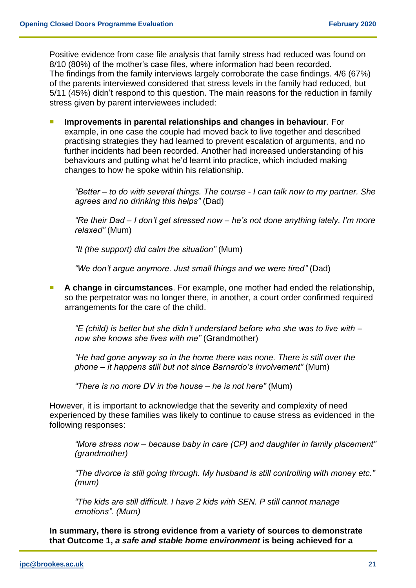Positive evidence from case file analysis that family stress had reduced was found on 8/10 (80%) of the mother's case files, where information had been recorded. The findings from the family interviews largely corroborate the case findings. 4/6 (67%) of the parents interviewed considered that stress levels in the family had reduced, but 5/11 (45%) didn't respond to this question. The main reasons for the reduction in family stress given by parent interviewees included:

 **Improvements in parental relationships and changes in behaviour**. For example, in one case the couple had moved back to live together and described practising strategies they had learned to prevent escalation of arguments, and no further incidents had been recorded. Another had increased understanding of his behaviours and putting what he'd learnt into practice, which included making changes to how he spoke within his relationship.

*"Better – to do with several things. The course - I can talk now to my partner. She agrees and no drinking this helps"* (Dad)

*"Re their Dad – I don't get stressed now – he's not done anything lately. I'm more relaxed"* (Mum)

*"It (the support) did calm the situation"* (Mum)

*"We don't argue anymore. Just small things and we were tired"* (Dad)

 **A change in circumstances**. For example, one mother had ended the relationship, so the perpetrator was no longer there, in another, a court order confirmed required arrangements for the care of the child.

*"E (child) is better but she didn't understand before who she was to live with – now she knows she lives with me"* (Grandmother)

*"He had gone anyway so in the home there was none. There is still over the phone – it happens still but not since Barnardo's involvement"* (Mum)

*"There is no more DV in the house – he is not here"* (Mum)

However, it is important to acknowledge that the severity and complexity of need experienced by these families was likely to continue to cause stress as evidenced in the following responses:

*"More stress now – because baby in care (CP) and daughter in family placement" (grandmother)*

*"The divorce is still going through. My husband is still controlling with money etc." (mum)*

*"The kids are still difficult. I have 2 kids with SEN. P still cannot manage emotions". (Mum)*

**In summary, there is strong evidence from a variety of sources to demonstrate that Outcome 1,** *a safe and stable home environment* **is being achieved for a**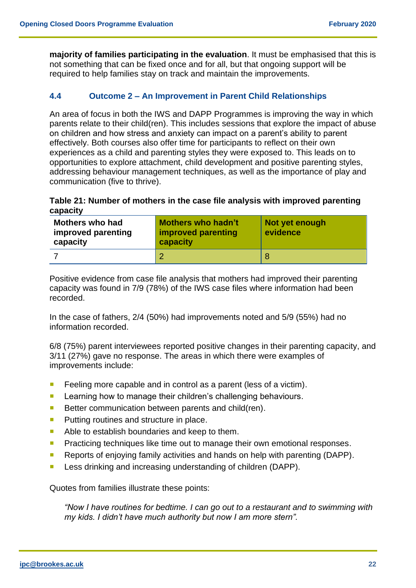**majority of families participating in the evaluation**. It must be emphasised that this is not something that can be fixed once and for all, but that ongoing support will be required to help families stay on track and maintain the improvements.

## <span id="page-22-0"></span>**4.4 Outcome 2 – An Improvement in Parent Child Relationships**

An area of focus in both the IWS and DAPP Programmes is improving the way in which parents relate to their child(ren). This includes sessions that explore the impact of abuse on children and how stress and anxiety can impact on a parent's ability to parent effectively. Both courses also offer time for participants to reflect on their own experiences as a child and parenting styles they were exposed to. This leads on to opportunities to explore attachment, child development and positive parenting styles, addressing behaviour management techniques, as well as the importance of play and communication (five to thrive).

#### **Table 21: Number of mothers in the case file analysis with improved parenting capacity**

| <b>Mothers who had</b><br>improved parenting<br>capacity | <b>Mothers who hadn't</b><br>improved parenting<br>capacity | Not yet enough<br>evidence |
|----------------------------------------------------------|-------------------------------------------------------------|----------------------------|
|                                                          |                                                             |                            |

Positive evidence from case file analysis that mothers had improved their parenting capacity was found in 7/9 (78%) of the IWS case files where information had been recorded.

In the case of fathers, 2/4 (50%) had improvements noted and 5/9 (55%) had no information recorded.

6/8 (75%) parent interviewees reported positive changes in their parenting capacity, and 3/11 (27%) gave no response. The areas in which there were examples of improvements include:

- Feeling more capable and in control as a parent (less of a victim).
- **Learning how to manage their children's challenging behaviours.**
- Better communication between parents and child(ren).
- **Putting routines and structure in place.**
- Able to establish boundaries and keep to them.
- **Practicing techniques like time out to manage their own emotional responses.**
- Reports of enjoying family activities and hands on help with parenting (DAPP).
- **Less drinking and increasing understanding of children (DAPP).**

Quotes from families illustrate these points:

*"Now I have routines for bedtime. I can go out to a restaurant and to swimming with my kids. I didn't have much authority but now I am more stern".*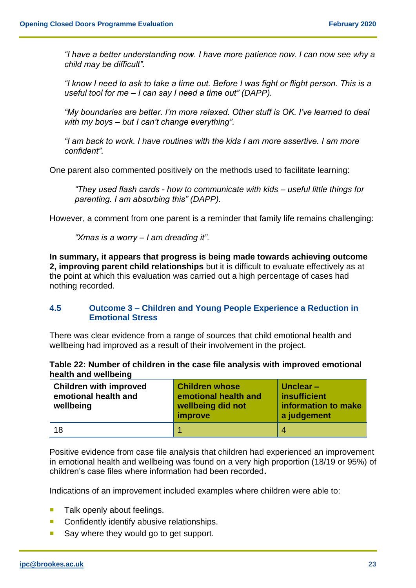*"I have a better understanding now. I have more patience now. I can now see why a child may be difficult".*

*"I know I need to ask to take a time out. Before I was fight or flight person. This is a useful tool for me – I can say I need a time out" (DAPP).*

*"My boundaries are better. I'm more relaxed. Other stuff is OK. I've learned to deal with my boys – but I can't change everything".*

*"I am back to work. I have routines with the kids I am more assertive. I am more confident".* 

One parent also commented positively on the methods used to facilitate learning:

*"They used flash cards - how to communicate with kids – useful little things for parenting. I am absorbing this" (DAPP).*

However, a comment from one parent is a reminder that family life remains challenging:

*"Xmas is a worry – I am dreading it".*

**In summary, it appears that progress is being made towards achieving outcome 2, improving parent child relationships** but it is difficult to evaluate effectively as at the point at which this evaluation was carried out a high percentage of cases had nothing recorded.

## <span id="page-23-0"></span>**4.5 Outcome 3 – Children and Young People Experience a Reduction in Emotional Stress**

There was clear evidence from a range of sources that child emotional health and wellbeing had improved as a result of their involvement in the project.

|                      | Table 22: Number of children in the case file analysis with improved emotional |
|----------------------|--------------------------------------------------------------------------------|
| health and wellbeing |                                                                                |

| <b>Children with improved</b><br>emotional health and<br>wellbeing | <b>Children whose</b><br>emotional health and<br>wellbeing did not<br>improve | Unclear $-$<br>insufficient<br>information to make<br>a judgement |
|--------------------------------------------------------------------|-------------------------------------------------------------------------------|-------------------------------------------------------------------|
| 18                                                                 |                                                                               | $\overline{4}$                                                    |

Positive evidence from case file analysis that children had experienced an improvement in emotional health and wellbeing was found on a very high proportion (18/19 or 95%) of children's case files where information had been recorded**.**

Indications of an improvement included examples where children were able to:

- $\blacksquare$  Talk openly about feelings.
- **Confidently identify abusive relationships.**
- Say where they would go to get support.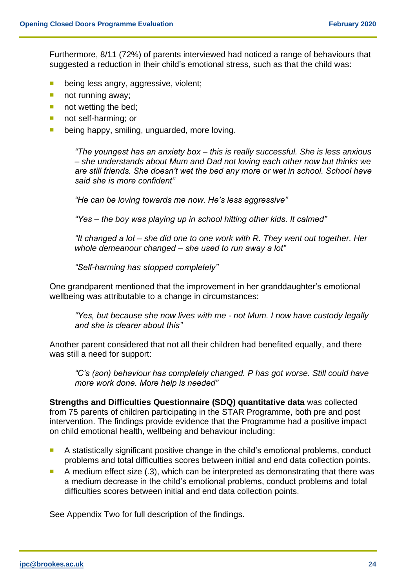Furthermore, 8/11 (72%) of parents interviewed had noticed a range of behaviours that suggested a reduction in their child's emotional stress, such as that the child was:

- **being less angry, aggressive, violent;**
- not running away;
- not wetting the bed;
- not self-harming; or
- **being happy, smiling, unguarded, more loving.**

*"The youngest has an anxiety box – this is really successful. She is less anxious – she understands about Mum and Dad not loving each other now but thinks we are still friends. She doesn't wet the bed any more or wet in school. School have said she is more confident"*

*"He can be loving towards me now. He's less aggressive"*

*"Yes – the boy was playing up in school hitting other kids. It calmed"*

*"It changed a lot – she did one to one work with R. They went out together. Her whole demeanour changed – she used to run away a lot"*

*"Self-harming has stopped completely"*

One grandparent mentioned that the improvement in her granddaughter's emotional wellbeing was attributable to a change in circumstances:

*"Yes, but because she now lives with me - not Mum. I now have custody legally and she is clearer about this"*

Another parent considered that not all their children had benefited equally, and there was still a need for support:

*"C's (son) behaviour has completely changed. P has got worse. Still could have more work done. More help is needed"*

**Strengths and Difficulties Questionnaire (SDQ) quantitative data** was collected from 75 parents of children participating in the STAR Programme, both pre and post intervention. The findings provide evidence that the Programme had a positive impact on child emotional health, wellbeing and behaviour including:

- A statistically significant positive change in the child's emotional problems, conduct problems and total difficulties scores between initial and end data collection points.
- A medium effect size (.3), which can be interpreted as demonstrating that there was a medium decrease in the child's emotional problems, conduct problems and total difficulties scores between initial and end data collection points.

See Appendix Two for full description of the findings.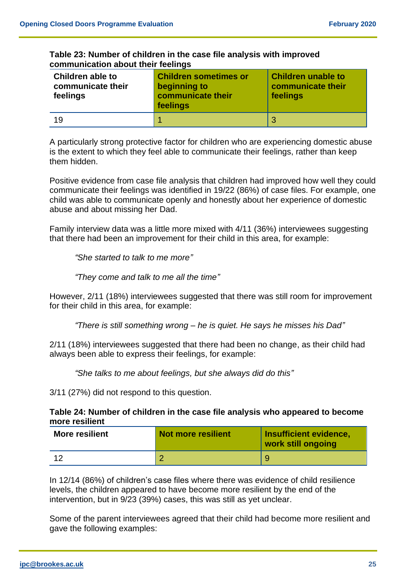| Table 23: Number of children in the case file analysis with improved |  |
|----------------------------------------------------------------------|--|
| communication about their feelings                                   |  |

| Children able to<br>communicate their<br>feelings | <b>Children sometimes or</b><br>beginning to<br>communicate their<br>feelings | <b>Children unable to</b><br>communicate their<br>feelings |
|---------------------------------------------------|-------------------------------------------------------------------------------|------------------------------------------------------------|
| 19                                                |                                                                               | 3                                                          |

A particularly strong protective factor for children who are experiencing domestic abuse is the extent to which they feel able to communicate their feelings, rather than keep them hidden.

Positive evidence from case file analysis that children had improved how well they could communicate their feelings was identified in 19/22 (86%) of case files. For example, one child was able to communicate openly and honestly about her experience of domestic abuse and about missing her Dad.

Family interview data was a little more mixed with 4/11 (36%) interviewees suggesting that there had been an improvement for their child in this area, for example:

*"She started to talk to me more"*

*"They come and talk to me all the time"*

However, 2/11 (18%) interviewees suggested that there was still room for improvement for their child in this area, for example:

*"There is still something wrong – he is quiet. He says he misses his Dad"*

2/11 (18%) interviewees suggested that there had been no change, as their child had always been able to express their feelings, for example:

*"She talks to me about feelings, but she always did do this"*

3/11 (27%) did not respond to this question.

# **Table 24: Number of children in the case file analysis who appeared to become more resilient**

| <b>More resilient</b> | <b>Not more resilient</b> | Insufficient evidence,<br>work still ongoing |
|-----------------------|---------------------------|----------------------------------------------|
| ィク                    |                           |                                              |

In 12/14 (86%) of children's case files where there was evidence of child resilience levels, the children appeared to have become more resilient by the end of the intervention, but in 9/23 (39%) cases, this was still as yet unclear.

Some of the parent interviewees agreed that their child had become more resilient and gave the following examples: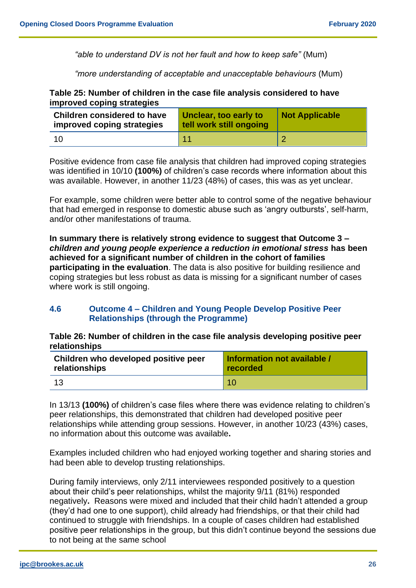*"able to understand DV is not her fault and how to keep safe"* (Mum)

*"more understanding of acceptable and unacceptable behaviours* (Mum)

## **Table 25: Number of children in the case file analysis considered to have improved coping strategies**

| <b>Children considered to have</b><br>improved coping strategies | Unclear, too early to<br>tell work still ongoing | <b>Not Applicable</b> |
|------------------------------------------------------------------|--------------------------------------------------|-----------------------|
|                                                                  |                                                  |                       |

Positive evidence from case file analysis that children had improved coping strategies was identified in 10/10 **(100%)** of children's case records where information about this was available. However, in another 11/23 (48%) of cases, this was as yet unclear.

For example, some children were better able to control some of the negative behaviour that had emerged in response to domestic abuse such as 'angry outbursts', self-harm, and/or other manifestations of trauma.

**In summary there is relatively strong evidence to suggest that Outcome 3 –** *children and young people experience a reduction in emotional stress* **has been achieved for a significant number of children in the cohort of families participating in the evaluation**. The data is also positive for building resilience and coping strategies but less robust as data is missing for a significant number of cases where work is still ongoing.

# <span id="page-26-0"></span>**4.6 Outcome 4 – Children and Young People Develop Positive Peer Relationships (through the Programme)**

**Table 26: Number of children in the case file analysis developing positive peer relationships**

| Children who developed positive peer | Information not available / |  |
|--------------------------------------|-----------------------------|--|
| relationships                        | recorded                    |  |
| 13                                   | 10                          |  |

In 13/13 **(100%)** of children's case files where there was evidence relating to children's peer relationships, this demonstrated that children had developed positive peer relationships while attending group sessions. However, in another 10/23 (43%) cases, no information about this outcome was available**.** 

Examples included children who had enjoyed working together and sharing stories and had been able to develop trusting relationships.

During family interviews, only 2/11 interviewees responded positively to a question about their child's peer relationships, whilst the majority 9/11 (81%) responded negatively**.** Reasons were mixed and included that their child hadn't attended a group (they'd had one to one support), child already had friendships, or that their child had continued to struggle with friendships. In a couple of cases children had established positive peer relationships in the group, but this didn't continue beyond the sessions due to not being at the same school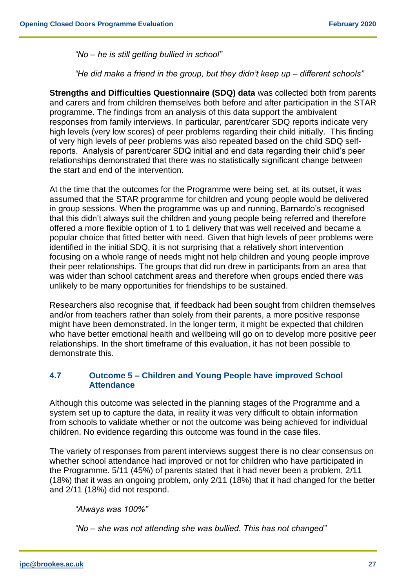*"No – he is still getting bullied in school"*

*"He did make a friend in the group, but they didn't keep up – different schools"*

**Strengths and Difficulties Questionnaire (SDQ) data** was collected both from parents and carers and from children themselves both before and after participation in the STAR programme. The findings from an analysis of this data support the ambivalent responses from family interviews. In particular, parent/carer SDQ reports indicate very high levels (very low scores) of peer problems regarding their child initially. This finding of very high levels of peer problems was also repeated based on the child SDQ selfreports. Analysis of parent/carer SDQ initial and end data regarding their child's peer relationships demonstrated that there was no statistically significant change between the start and end of the intervention.

At the time that the outcomes for the Programme were being set, at its outset, it was assumed that the STAR programme for children and young people would be delivered in group sessions. When the programme was up and running, Barnardo's recognised that this didn't always suit the children and young people being referred and therefore offered a more flexible option of 1 to 1 delivery that was well received and became a popular choice that fitted better with need. Given that high levels of peer problems were identified in the initial SDQ, it is not surprising that a relatively short intervention focusing on a whole range of needs might not help children and young people improve their peer relationships. The groups that did run drew in participants from an area that was wider than school catchment areas and therefore when groups ended there was unlikely to be many opportunities for friendships to be sustained.

Researchers also recognise that, if feedback had been sought from children themselves and/or from teachers rather than solely from their parents, a more positive response might have been demonstrated. In the longer term, it might be expected that children who have better emotional health and wellbeing will go on to develop more positive peer relationships. In the short timeframe of this evaluation, it has not been possible to demonstrate this.

# <span id="page-27-0"></span>**4.7 Outcome 5 – Children and Young People have improved School Attendance**

Although this outcome was selected in the planning stages of the Programme and a system set up to capture the data, in reality it was very difficult to obtain information from schools to validate whether or not the outcome was being achieved for individual children. No evidence regarding this outcome was found in the case files.

The variety of responses from parent interviews suggest there is no clear consensus on whether school attendance had improved or not for children who have participated in the Programme. 5/11 (45%) of parents stated that it had never been a problem, 2/11 (18%) that it was an ongoing problem, only 2/11 (18%) that it had changed for the better and 2/11 (18%) did not respond.

*"Always was 100%"* 

*"No – she was not attending she was bullied. This has not changed"*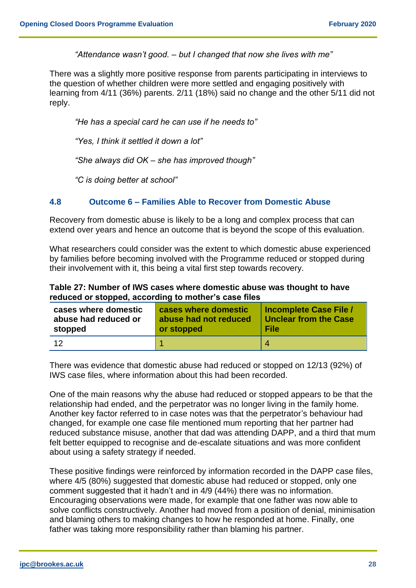*"Attendance wasn't good. – but I changed that now she lives with me"*

There was a slightly more positive response from parents participating in interviews to the question of whether children were more settled and engaging positively with learning from 4/11 (36%) parents. 2/11 (18%) said no change and the other 5/11 did not reply.

*"He has a special card he can use if he needs to"*

*"Yes, I think it settled it down a lot"*

*"She always did OK – she has improved though"*

*"C is doing better at school"*

# <span id="page-28-0"></span>**4.8 Outcome 6 – Families Able to Recover from Domestic Abuse**

Recovery from domestic abuse is likely to be a long and complex process that can extend over years and hence an outcome that is beyond the scope of this evaluation.

What researchers could consider was the extent to which domestic abuse experienced by families before becoming involved with the Programme reduced or stopped during their involvement with it, this being a vital first step towards recovery.

#### **Table 27: Number of IWS cases where domestic abuse was thought to have reduced or stopped, according to mother's case files**

| cases where domestic | cases where domestic  | <b>Incomplete Case File /</b> |
|----------------------|-----------------------|-------------------------------|
| abuse had reduced or | abuse had not reduced | <b>Unclear from the Case</b>  |
| stopped              | or stopped            | <b>File</b>                   |
| 12                   |                       |                               |

There was evidence that domestic abuse had reduced or stopped on 12/13 (92%) of IWS case files, where information about this had been recorded.

One of the main reasons why the abuse had reduced or stopped appears to be that the relationship had ended, and the perpetrator was no longer living in the family home. Another key factor referred to in case notes was that the perpetrator's behaviour had changed, for example one case file mentioned mum reporting that her partner had reduced substance misuse, another that dad was attending DAPP, and a third that mum felt better equipped to recognise and de-escalate situations and was more confident about using a safety strategy if needed.

These positive findings were reinforced by information recorded in the DAPP case files, where 4/5 (80%) suggested that domestic abuse had reduced or stopped, only one comment suggested that it hadn't and in 4/9 (44%) there was no information. Encouraging observations were made, for example that one father was now able to solve conflicts constructively. Another had moved from a position of denial, minimisation and blaming others to making changes to how he responded at home. Finally, one father was taking more responsibility rather than blaming his partner.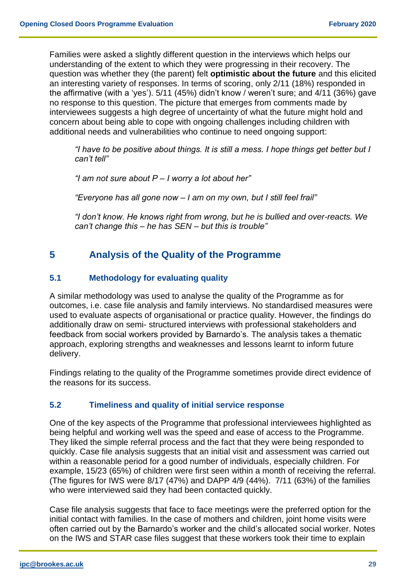Families were asked a slightly different question in the interviews which helps our understanding of the extent to which they were progressing in their recovery. The question was whether they (the parent) felt **optimistic about the future** and this elicited an interesting variety of responses. In terms of scoring, only 2/11 (18%) responded in the affirmative (with a 'yes'). 5/11 (45%) didn't know / weren't sure; and 4/11 (36%) gave no response to this question. The picture that emerges from comments made by interviewees suggests a high degree of uncertainty of what the future might hold and concern about being able to cope with ongoing challenges including children with additional needs and vulnerabilities who continue to need ongoing support:

*"I have to be positive about things. It is still a mess. I hope things get better but I can't tell"*

*"I am not sure about P – I worry a lot about her"*

*"Everyone has all gone now – I am on my own, but I still feel frail"*

*"I don't know. He knows right from wrong, but he is bullied and over-reacts. We can't change this – he has SEN – but this is trouble"*

# <span id="page-29-0"></span>**5 Analysis of the Quality of the Programme**

## <span id="page-29-1"></span>**5.1 Methodology for evaluating quality**

A similar methodology was used to analyse the quality of the Programme as for outcomes, i.e. case file analysis and family interviews. No standardised measures were used to evaluate aspects of organisational or practice quality. However, the findings do additionally draw on semi- structured interviews with professional stakeholders and feedback from social workers provided by Barnardo's. The analysis takes a thematic approach, exploring strengths and weaknesses and lessons learnt to inform future delivery.

Findings relating to the quality of the Programme sometimes provide direct evidence of the reasons for its success.

# <span id="page-29-2"></span>**5.2 Timeliness and quality of initial service response**

One of the key aspects of the Programme that professional interviewees highlighted as being helpful and working well was the speed and ease of access to the Programme. They liked the simple referral process and the fact that they were being responded to quickly. Case file analysis suggests that an initial visit and assessment was carried out within a reasonable period for a good number of individuals, especially children. For example, 15/23 (65%) of children were first seen within a month of receiving the referral. (The figures for IWS were 8/17 (47%) and DAPP 4/9 (44%). 7/11 (63%) of the families who were interviewed said they had been contacted quickly.

Case file analysis suggests that face to face meetings were the preferred option for the initial contact with families. In the case of mothers and children, joint home visits were often carried out by the Barnardo's worker and the child's allocated social worker. Notes on the IWS and STAR case files suggest that these workers took their time to explain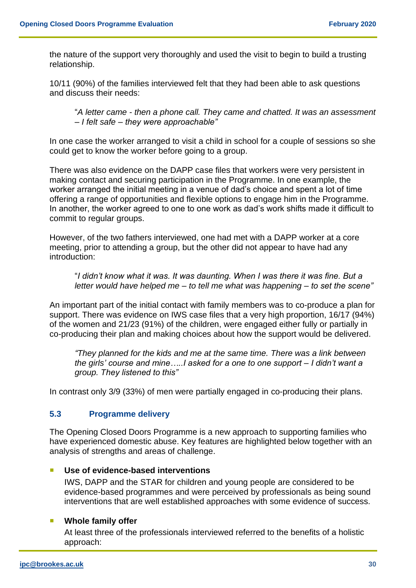the nature of the support very thoroughly and used the visit to begin to build a trusting relationship.

10/11 (90%) of the families interviewed felt that they had been able to ask questions and discuss their needs:

"*A letter came - then a phone call. They came and chatted. It was an assessment – I felt safe – they were approachable"*

In one case the worker arranged to visit a child in school for a couple of sessions so she could get to know the worker before going to a group.

There was also evidence on the DAPP case files that workers were very persistent in making contact and securing participation in the Programme. In one example, the worker arranged the initial meeting in a venue of dad's choice and spent a lot of time offering a range of opportunities and flexible options to engage him in the Programme. In another, the worker agreed to one to one work as dad's work shifts made it difficult to commit to regular groups.

However, of the two fathers interviewed, one had met with a DAPP worker at a core meeting, prior to attending a group, but the other did not appear to have had any introduction:

"*I didn't know what it was. It was daunting. When I was there it was fine. But a letter would have helped me – to tell me what was happening – to set the scene"*

An important part of the initial contact with family members was to co-produce a plan for support. There was evidence on IWS case files that a very high proportion, 16/17 (94%) of the women and 21/23 (91%) of the children, were engaged either fully or partially in co-producing their plan and making choices about how the support would be delivered.

*"They planned for the kids and me at the same time. There was a link between the girls' course and mine…..I asked for a one to one support – I didn't want a group. They listened to this"*

<span id="page-30-0"></span>In contrast only 3/9 (33%) of men were partially engaged in co-producing their plans.

# **5.3 Programme delivery**

The Opening Closed Doors Programme is a new approach to supporting families who have experienced domestic abuse. Key features are highlighted below together with an analysis of strengths and areas of challenge.

#### **Use of evidence-based interventions**

IWS, DAPP and the STAR for children and young people are considered to be evidence-based programmes and were perceived by professionals as being sound interventions that are well established approaches with some evidence of success.

# **Whole family offer**

At least three of the professionals interviewed referred to the benefits of a holistic approach: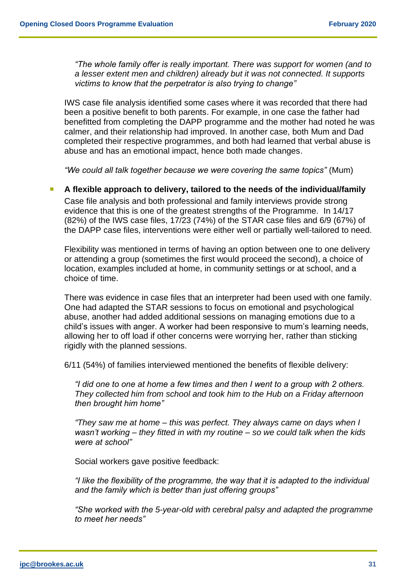*"The whole family offer is really important. There was support for women (and to a lesser extent men and children) already but it was not connected. It supports victims to know that the perpetrator is also trying to change"* 

IWS case file analysis identified some cases where it was recorded that there had been a positive benefit to both parents. For example, in one case the father had benefitted from completing the DAPP programme and the mother had noted he was calmer, and their relationship had improved. In another case, both Mum and Dad completed their respective programmes, and both had learned that verbal abuse is abuse and has an emotional impact, hence both made changes.

*"We could all talk together because we were covering the same topics"* (Mum)

## **A** flexible approach to delivery, tailored to the needs of the individual/family

Case file analysis and both professional and family interviews provide strong evidence that this is one of the greatest strengths of the Programme. In 14/17 (82%) of the IWS case files, 17/23 (74%) of the STAR case files and 6/9 (67%) of the DAPP case files, interventions were either well or partially well-tailored to need.

Flexibility was mentioned in terms of having an option between one to one delivery or attending a group (sometimes the first would proceed the second), a choice of location, examples included at home, in community settings or at school, and a choice of time.

There was evidence in case files that an interpreter had been used with one family. One had adapted the STAR sessions to focus on emotional and psychological abuse, another had added additional sessions on managing emotions due to a child's issues with anger. A worker had been responsive to mum's learning needs, allowing her to off load if other concerns were worrying her, rather than sticking rigidly with the planned sessions.

6/11 (54%) of families interviewed mentioned the benefits of flexible delivery:

*"I did one to one at home a few times and then I went to a group with 2 others. They collected him from school and took him to the Hub on a Friday afternoon then brought him home"*

*"They saw me at home – this was perfect. They always came on days when I wasn't working – they fitted in with my routine – so we could talk when the kids were at school"*

Social workers gave positive feedback:

*"I like the flexibility of the programme, the way that it is adapted to the individual and the family which is better than just offering groups"*

*"She worked with the 5-year-old with cerebral palsy and adapted the programme to meet her needs"*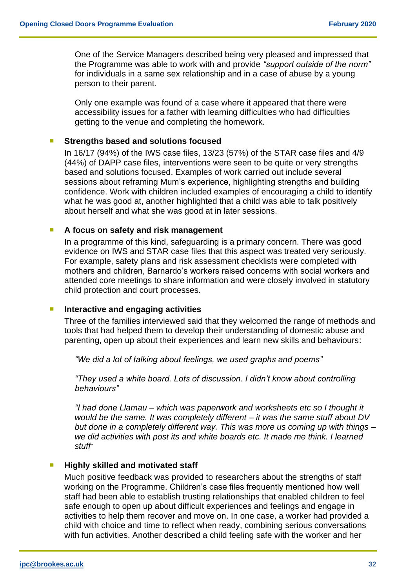One of the Service Managers described being very pleased and impressed that the Programme was able to work with and provide *"support outside of the norm"* for individuals in a same sex relationship and in a case of abuse by a young person to their parent.

Only one example was found of a case where it appeared that there were accessibility issues for a father with learning difficulties who had difficulties getting to the venue and completing the homework.

#### **Strengths based and solutions focused**

In 16/17 (94%) of the IWS case files, 13/23 (57%) of the STAR case files and 4/9 (44%) of DAPP case files, interventions were seen to be quite or very strengths based and solutions focused. Examples of work carried out include several sessions about reframing Mum's experience, highlighting strengths and building confidence. Work with children included examples of encouraging a child to identify what he was good at, another highlighted that a child was able to talk positively about herself and what she was good at in later sessions.

#### **A focus on safety and risk management**

In a programme of this kind, safeguarding is a primary concern. There was good evidence on IWS and STAR case files that this aspect was treated very seriously. For example, safety plans and risk assessment checklists were completed with mothers and children, Barnardo's workers raised concerns with social workers and attended core meetings to share information and were closely involved in statutory child protection and court processes.

#### **Interactive and engaging activities**

Three of the families interviewed said that they welcomed the range of methods and tools that had helped them to develop their understanding of domestic abuse and parenting, open up about their experiences and learn new skills and behaviours:

*"We did a lot of talking about feelings, we used graphs and poems"* 

*"They used a white board. Lots of discussion. I didn't know about controlling behaviours"*

*"I had done Llamau – which was paperwork and worksheets etc so I thought it would be the same. It was completely different – it was the same stuff about DV but done in a completely different way. This was more us coming up with things – we did activities with post its and white boards etc. It made me think. I learned stuff*"

#### **Highly skilled and motivated staff**

Much positive feedback was provided to researchers about the strengths of staff working on the Programme. Children's case files frequently mentioned how well staff had been able to establish trusting relationships that enabled children to feel safe enough to open up about difficult experiences and feelings and engage in activities to help them recover and move on. In one case, a worker had provided a child with choice and time to reflect when ready, combining serious conversations with fun activities. Another described a child feeling safe with the worker and her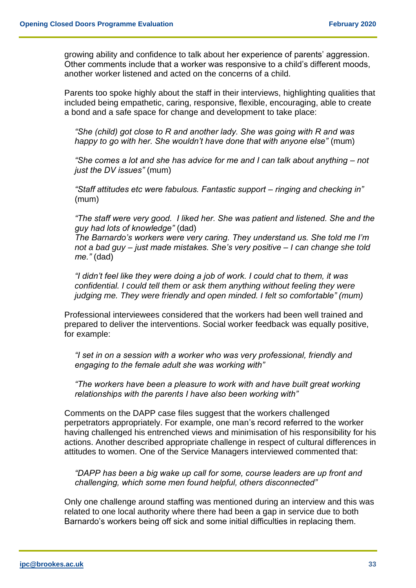growing ability and confidence to talk about her experience of parents' aggression. Other comments include that a worker was responsive to a child's different moods, another worker listened and acted on the concerns of a child.

Parents too spoke highly about the staff in their interviews, highlighting qualities that included being empathetic, caring, responsive, flexible, encouraging, able to create a bond and a safe space for change and development to take place:

*"She (child) got close to R and another lady. She was going with R and was happy to go with her. She wouldn't have done that with anyone else"* (mum)

*"She comes a lot and she has advice for me and I can talk about anything – not just the DV issues"* (mum)

*"Staff attitudes etc were fabulous. Fantastic support – ringing and checking in"* (mum)

*"The staff were very good. I liked her. She was patient and listened. She and the guy had lots of knowledge"* (dad)

*The Barnardo's workers were very caring. They understand us. She told me I'm not a bad guy – just made mistakes. She's very positive – I can change she told me."* (dad)

*"I didn't feel like they were doing a job of work. I could chat to them, it was confidential. I could tell them or ask them anything without feeling they were judging me. They were friendly and open minded. I felt so comfortable" (mum)*

Professional interviewees considered that the workers had been well trained and prepared to deliver the interventions. Social worker feedback was equally positive, for example:

*"I set in on a session with a worker who was very professional, friendly and engaging to the female adult she was working with"*

*"The workers have been a pleasure to work with and have built great working relationships with the parents I have also been working with"* 

Comments on the DAPP case files suggest that the workers challenged perpetrators appropriately. For example, one man's record referred to the worker having challenged his entrenched views and minimisation of his responsibility for his actions. Another described appropriate challenge in respect of cultural differences in attitudes to women. One of the Service Managers interviewed commented that:

*"DAPP has been a big wake up call for some, course leaders are up front and challenging, which some men found helpful, others disconnected"*

Only one challenge around staffing was mentioned during an interview and this was related to one local authority where there had been a gap in service due to both Barnardo's workers being off sick and some initial difficulties in replacing them.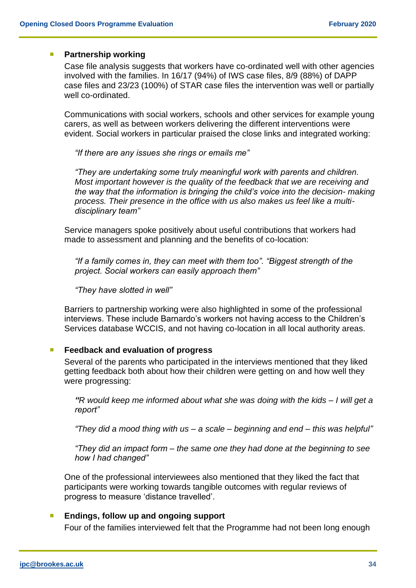#### **Partnership working**

Case file analysis suggests that workers have co-ordinated well with other agencies involved with the families. In 16/17 (94%) of IWS case files, 8/9 (88%) of DAPP case files and 23/23 (100%) of STAR case files the intervention was well or partially well co-ordinated.

Communications with social workers, schools and other services for example young carers, as well as between workers delivering the different interventions were evident. Social workers in particular praised the close links and integrated working:

*"If there are any issues she rings or emails me"*

*"They are undertaking some truly meaningful work with parents and children. Most important however is the quality of the feedback that we are receiving and the way that the information is bringing the child's voice into the decision- making process. Their presence in the office with us also makes us feel like a multidisciplinary team"*

Service managers spoke positively about useful contributions that workers had made to assessment and planning and the benefits of co-location:

*"If a family comes in, they can meet with them too". "Biggest strength of the project. Social workers can easily approach them"* 

*"They have slotted in well"* 

Barriers to partnership working were also highlighted in some of the professional interviews. These include Barnardo's workers not having access to the Children's Services database WCCIS, and not having co-location in all local authority areas.

#### **Feedback and evaluation of progress**

Several of the parents who participated in the interviews mentioned that they liked getting feedback both about how their children were getting on and how well they were progressing:

*"R would keep me informed about what she was doing with the kids – I will get a report"*

*"They did a mood thing with us – a scale – beginning and end – this was helpful"*

*"They did an impact form – the same one they had done at the beginning to see how I had changed"*

One of the professional interviewees also mentioned that they liked the fact that participants were working towards tangible outcomes with regular reviews of progress to measure 'distance travelled'.

#### **Endings, follow up and ongoing support**

Four of the families interviewed felt that the Programme had not been long enough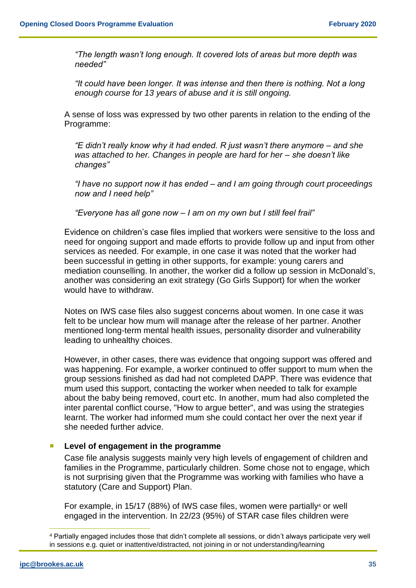*"The length wasn't long enough. It covered lots of areas but more depth was needed"* 

*"It could have been longer. It was intense and then there is nothing. Not a long enough course for 13 years of abuse and it is still ongoing.*

A sense of loss was expressed by two other parents in relation to the ending of the Programme:

*"E didn't really know why it had ended. R just wasn't there anymore – and she was attached to her. Changes in people are hard for her – she doesn't like changes"*

*"I have no support now it has ended – and I am going through court proceedings now and I need help"*

*"Everyone has all gone now – I am on my own but I still feel frail"*

Evidence on children's case files implied that workers were sensitive to the loss and need for ongoing support and made efforts to provide follow up and input from other services as needed. For example, in one case it was noted that the worker had been successful in getting in other supports, for example: young carers and mediation counselling. In another, the worker did a follow up session in McDonald's, another was considering an exit strategy (Go Girls Support) for when the worker would have to withdraw.

Notes on IWS case files also suggest concerns about women. In one case it was felt to be unclear how mum will manage after the release of her partner. Another mentioned long-term mental health issues, personality disorder and vulnerability leading to unhealthy choices.

However, in other cases, there was evidence that ongoing support was offered and was happening. For example, a worker continued to offer support to mum when the group sessions finished as dad had not completed DAPP. There was evidence that mum used this support, contacting the worker when needed to talk for example about the baby being removed, court etc. In another, mum had also completed the inter parental conflict course, "How to argue better", and was using the strategies learnt. The worker had informed mum she could contact her over the next year if she needed further advice.

#### **Level of engagement in the programme**

Case file analysis suggests mainly very high levels of engagement of children and families in the Programme, particularly children. Some chose not to engage, which is not surprising given that the Programme was working with families who have a statutory (Care and Support) Plan.

For example, in 15/17 (88%) of IWS case files, women were partially<sup>4</sup> or well engaged in the intervention. In 22/23 (95%) of STAR case files children were

<sup>4</sup> Partially engaged includes those that didn't complete all sessions, or didn't always participate very well in sessions e.g. quiet or inattentive/distracted, not joining in or not understanding/learning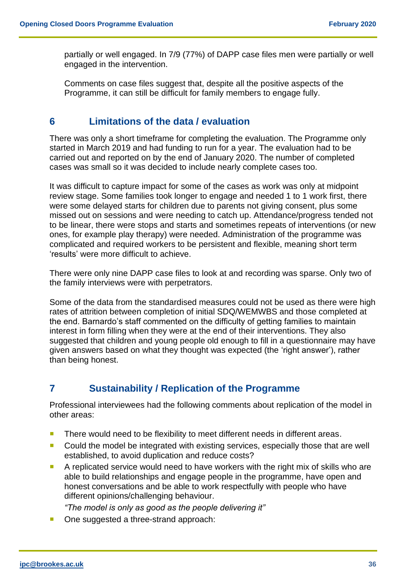partially or well engaged. In 7/9 (77%) of DAPP case files men were partially or well engaged in the intervention.

Comments on case files suggest that, despite all the positive aspects of the Programme, it can still be difficult for family members to engage fully.

# <span id="page-36-0"></span>**6 Limitations of the data / evaluation**

There was only a short timeframe for completing the evaluation. The Programme only started in March 2019 and had funding to run for a year. The evaluation had to be carried out and reported on by the end of January 2020. The number of completed cases was small so it was decided to include nearly complete cases too.

It was difficult to capture impact for some of the cases as work was only at midpoint review stage. Some families took longer to engage and needed 1 to 1 work first, there were some delayed starts for children due to parents not giving consent, plus some missed out on sessions and were needing to catch up. Attendance/progress tended not to be linear, there were stops and starts and sometimes repeats of interventions (or new ones, for example play therapy) were needed. Administration of the programme was complicated and required workers to be persistent and flexible, meaning short term 'results' were more difficult to achieve.

There were only nine DAPP case files to look at and recording was sparse. Only two of the family interviews were with perpetrators.

Some of the data from the standardised measures could not be used as there were high rates of attrition between completion of initial SDQ/WEMWBS and those completed at the end. Barnardo's staff commented on the difficulty of getting families to maintain interest in form filling when they were at the end of their interventions. They also suggested that children and young people old enough to fill in a questionnaire may have given answers based on what they thought was expected (the 'right answer'), rather than being honest.

# <span id="page-36-1"></span>**7 Sustainability / Replication of the Programme**

Professional interviewees had the following comments about replication of the model in other areas:

- There would need to be flexibility to meet different needs in different areas.
- **Could the model be integrated with existing services, especially those that are well** established, to avoid duplication and reduce costs?
- A replicated service would need to have workers with the right mix of skills who are able to build relationships and engage people in the programme, have open and honest conversations and be able to work respectfully with people who have different opinions/challenging behaviour.

*"The model is only as good as the people delivering it"* 

One suggested a three-strand approach: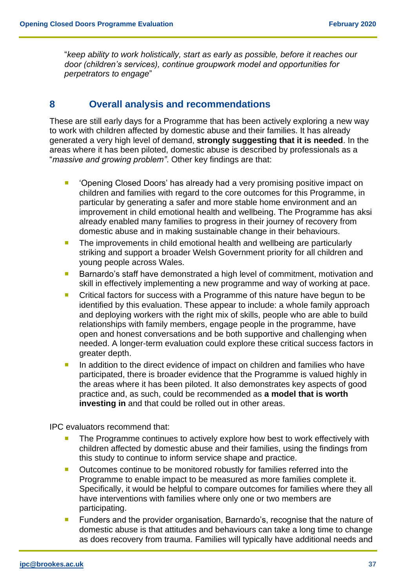"*keep ability to work holistically, start as early as possible, before it reaches our door (children's services), continue groupwork model and opportunities for perpetrators to engage*"

# <span id="page-37-0"></span>**8 Overall analysis and recommendations**

These are still early days for a Programme that has been actively exploring a new way to work with children affected by domestic abuse and their families. It has already generated a very high level of demand, **strongly suggesting that it is needed**. In the areas where it has been piloted, domestic abuse is described by professionals as a "*massive and growing problem"*. Other key findings are that:

- **•** 'Opening Closed Doors' has already had a very promising positive impact on children and families with regard to the core outcomes for this Programme, in particular by generating a safer and more stable home environment and an improvement in child emotional health and wellbeing. The Programme has aksi already enabled many families to progress in their journey of recovery from domestic abuse and in making sustainable change in their behaviours.
- **The improvements in child emotional health and wellbeing are particularly** striking and support a broader Welsh Government priority for all children and young people across Wales.
- Barnardo's staff have demonstrated a high level of commitment, motivation and skill in effectively implementing a new programme and way of working at pace.
- Critical factors for success with a Programme of this nature have begun to be identified by this evaluation. These appear to include: a whole family approach and deploying workers with the right mix of skills, people who are able to build relationships with family members, engage people in the programme, have open and honest conversations and be both supportive and challenging when needed. A longer-term evaluation could explore these critical success factors in greater depth.
- In addition to the direct evidence of impact on children and families who have participated, there is broader evidence that the Programme is valued highly in the areas where it has been piloted. It also demonstrates key aspects of good practice and, as such, could be recommended as **a model that is worth investing in** and that could be rolled out in other areas.

IPC evaluators recommend that:

- **The Programme continues to actively explore how best to work effectively with** children affected by domestic abuse and their families, using the findings from this study to continue to inform service shape and practice.
- Outcomes continue to be monitored robustly for families referred into the Programme to enable impact to be measured as more families complete it. Specifically, it would be helpful to compare outcomes for families where they all have interventions with families where only one or two members are participating.
- **Funders and the provider organisation, Barnardo's, recognise that the nature of** domestic abuse is that attitudes and behaviours can take a long time to change as does recovery from trauma. Families will typically have additional needs and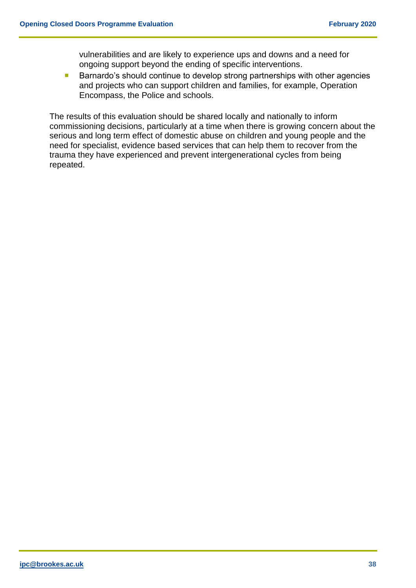vulnerabilities and are likely to experience ups and downs and a need for ongoing support beyond the ending of specific interventions.

■ Barnardo's should continue to develop strong partnerships with other agencies and projects who can support children and families, for example, Operation Encompass, the Police and schools.

The results of this evaluation should be shared locally and nationally to inform commissioning decisions, particularly at a time when there is growing concern about the serious and long term effect of domestic abuse on children and young people and the need for specialist, evidence based services that can help them to recover from the trauma they have experienced and prevent intergenerational cycles from being repeated.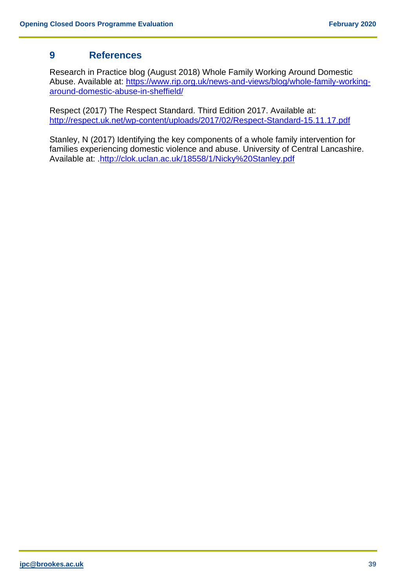# **9 References**

Research in Practice blog (August 2018) Whole Family Working Around Domestic Abuse. Available at: [https://www.rip.org.uk/news-and-views/blog/whole-family-working](https://www.rip.org.uk/news-and-views/blog/whole-family-working-around-domestic-abuse-in-sheffield/)[around-domestic-abuse-in-sheffield/](https://www.rip.org.uk/news-and-views/blog/whole-family-working-around-domestic-abuse-in-sheffield/)

Respect (2017) The Respect Standard. Third Edition 2017. Available at: <http://respect.uk.net/wp-content/uploads/2017/02/Respect-Standard-15.11.17.pdf>

Stanley, N (2017) Identifying the key components of a whole family intervention for families experiencing domestic violence and abuse. University of Central Lancashire. Available at: [.http://clok.uclan.ac.uk/18558/1/Nicky%20Stanley.pdf](http://clok.uclan.ac.uk/18558/1/Nicky%20Stanley.pdf)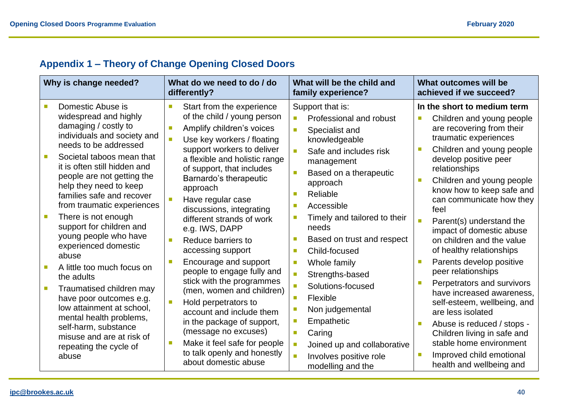|  |  |  |  | <b>Appendix 1 - Theory of Change Opening Closed Doors</b> |
|--|--|--|--|-----------------------------------------------------------|
|--|--|--|--|-----------------------------------------------------------|

<span id="page-40-0"></span>

| Why is change needed?                                                                                                                                                                                                                                                                                                                                         | What do we need to do / do<br>differently?                                                                                                                                                                                                                                                                                                            | What will be the child and<br>family experience?                                                                                                                                                                                                                                                         | What outcomes will be<br>achieved if we succeed?                                                                                                                                                                                                                                                                                            |
|---------------------------------------------------------------------------------------------------------------------------------------------------------------------------------------------------------------------------------------------------------------------------------------------------------------------------------------------------------------|-------------------------------------------------------------------------------------------------------------------------------------------------------------------------------------------------------------------------------------------------------------------------------------------------------------------------------------------------------|----------------------------------------------------------------------------------------------------------------------------------------------------------------------------------------------------------------------------------------------------------------------------------------------------------|---------------------------------------------------------------------------------------------------------------------------------------------------------------------------------------------------------------------------------------------------------------------------------------------------------------------------------------------|
| Domestic Abuse is<br>widespread and highly<br>damaging / costly to<br>individuals and society and<br>needs to be addressed<br>Societal taboos mean that<br>it is often still hidden and<br>people are not getting the<br>help they need to keep<br>families safe and recover<br>from traumatic experiences<br>There is not enough<br>support for children and | Start from the experience<br>of the child / young person<br>Amplify children's voices<br>Use key workers / floating<br>support workers to deliver<br>a flexible and holistic range<br>of support, that includes<br>Barnardo's therapeutic<br>approach<br>Have regular case<br>discussions, integrating<br>different strands of work<br>e.g. IWS, DAPP | Support that is:<br>Professional and robust<br>$\blacksquare$<br>$\overline{\phantom{a}}$<br>Specialist and<br>knowledgeable<br>Safe and includes risk<br>n<br>management<br>Based on a therapeutic<br>M.<br>approach<br>Reliable<br>П<br>Accessible<br>П<br>Timely and tailored to their<br>o,<br>needs | In the short to medium term<br>Children and young people<br>are recovering from their<br>traumatic experiences<br>Children and young people<br>develop positive peer<br>relationships<br>Children and young people<br>know how to keep safe and<br>can communicate how they<br>feel<br>Parent(s) understand the<br>impact of domestic abuse |
| young people who have<br>experienced domestic<br>abuse                                                                                                                                                                                                                                                                                                        | Reduce barriers to<br>accessing support                                                                                                                                                                                                                                                                                                               | Based on trust and respect<br>a.<br>Child-focused<br><b>I</b>                                                                                                                                                                                                                                            | on children and the value<br>of healthy relationships                                                                                                                                                                                                                                                                                       |
| A little too much focus on<br>the adults<br>Traumatised children may<br>have poor outcomes e.g.<br>low attainment at school,<br>mental health problems,<br>self-harm, substance<br>misuse and are at risk of                                                                                                                                                  | Encourage and support<br>people to engage fully and<br>stick with the programmes<br>(men, women and children)<br>Hold perpetrators to<br>account and include them<br>in the package of support,<br>(message no excuses)                                                                                                                               | Whole family<br>$\overline{\phantom{a}}$<br>÷,<br>Strengths-based<br>Ē,<br>Solutions-focused<br>Flexible<br><b>I</b><br>Non judgemental<br>$\mathcal{C}$<br>Empathetic<br>$\mathcal{C}$<br>Caring<br>$\mathcal{L}_{\mathcal{A}}$                                                                         | Parents develop positive<br>peer relationships<br>Perpetrators and survivors<br>have increased awareness,<br>self-esteem, wellbeing, and<br>are less isolated<br>Abuse is reduced / stops -<br>Children living in safe and                                                                                                                  |
| repeating the cycle of<br>abuse                                                                                                                                                                                                                                                                                                                               | Make it feel safe for people<br>to talk openly and honestly<br>about domestic abuse                                                                                                                                                                                                                                                                   | $\mathcal{A}$<br>Joined up and collaborative<br>n<br>Involves positive role<br>modelling and the                                                                                                                                                                                                         | stable home environment<br>Improved child emotional<br>health and wellbeing and                                                                                                                                                                                                                                                             |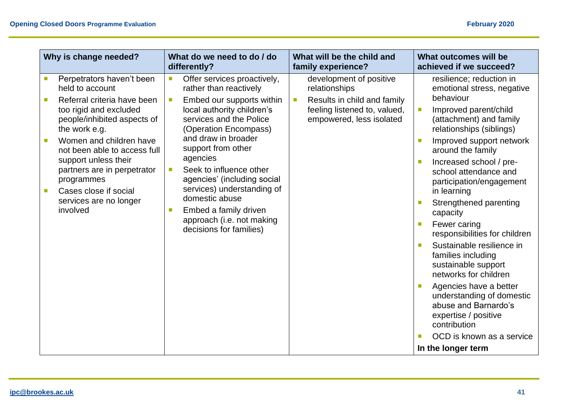| Why is change needed?                                                                                                                                                                                                                                                                                                                                | What do we need to do / do<br>differently?                                                                                                                                                                                                                                                                                                                                                                                                                                                                                                        | What will be the child and<br>family experience?                                                                                                                | What outcomes will be<br>achieved if we succeed?                                                                                                                                                                                                                                                                                                                                                                                                                                                                                                                                                                                                                             |
|------------------------------------------------------------------------------------------------------------------------------------------------------------------------------------------------------------------------------------------------------------------------------------------------------------------------------------------------------|---------------------------------------------------------------------------------------------------------------------------------------------------------------------------------------------------------------------------------------------------------------------------------------------------------------------------------------------------------------------------------------------------------------------------------------------------------------------------------------------------------------------------------------------------|-----------------------------------------------------------------------------------------------------------------------------------------------------------------|------------------------------------------------------------------------------------------------------------------------------------------------------------------------------------------------------------------------------------------------------------------------------------------------------------------------------------------------------------------------------------------------------------------------------------------------------------------------------------------------------------------------------------------------------------------------------------------------------------------------------------------------------------------------------|
| Perpetrators haven't been<br>held to account<br>Referral criteria have been<br>too rigid and excluded<br>people/inhibited aspects of<br>the work e.g.<br>Women and children have<br>not been able to access full<br>support unless their<br>partners are in perpetrator<br>programmes<br>Cases close if social<br>services are no longer<br>involved | $\overline{\phantom{a}}$<br>Offer services proactively,<br>rather than reactively<br>Embed our supports within<br>$\mathcal{C}^{\mathcal{A}}$<br>local authority children's<br>services and the Police<br>(Operation Encompass)<br>and draw in broader<br>support from other<br>agencies<br>Seek to influence other<br>$\mathcal{C}^{\mathcal{A}}$<br>agencies' (including social<br>services) understanding of<br>domestic abuse<br>Embed a family driven<br>$\mathcal{L}_{\mathcal{A}}$<br>approach (i.e. not making<br>decisions for families) | development of positive<br>relationships<br>Results in child and family<br>$\overline{\phantom{a}}$<br>feeling listened to, valued,<br>empowered, less isolated | resilience; reduction in<br>emotional stress, negative<br>behaviour<br>Improved parent/child<br>П<br>(attachment) and family<br>relationships (siblings)<br>Improved support network<br>around the family<br>Increased school / pre-<br>school attendance and<br>participation/engagement<br>in learning<br>Strengthened parenting<br>capacity<br>Fewer caring<br>responsibilities for children<br>Sustainable resilience in<br>families including<br>sustainable support<br>networks for children<br>Agencies have a better<br>understanding of domestic<br>abuse and Barnardo's<br>expertise / positive<br>contribution<br>OCD is known as a service<br>In the longer term |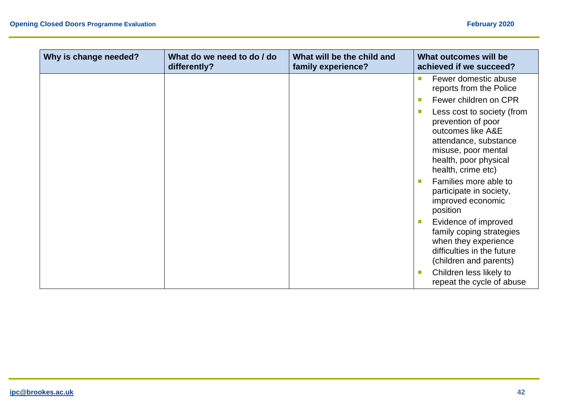| Why is change needed? | What do we need to do / do<br>differently? | What will be the child and<br>family experience? | What outcomes will be<br>achieved if we succeed?                                                                                                                     |
|-----------------------|--------------------------------------------|--------------------------------------------------|----------------------------------------------------------------------------------------------------------------------------------------------------------------------|
|                       |                                            |                                                  | Fewer domestic abuse<br>reports from the Police                                                                                                                      |
|                       |                                            |                                                  | Fewer children on CPR                                                                                                                                                |
|                       |                                            |                                                  | Less cost to society (from<br>prevention of poor<br>outcomes like A&E<br>attendance, substance<br>misuse, poor mental<br>health, poor physical<br>health, crime etc) |
|                       |                                            |                                                  | Families more able to<br>participate in society,<br>improved economic<br>position                                                                                    |
|                       |                                            |                                                  | Evidence of improved<br>family coping strategies<br>when they experience<br>difficulties in the future<br>(children and parents)                                     |
|                       |                                            |                                                  | Children less likely to<br>п<br>repeat the cycle of abuse                                                                                                            |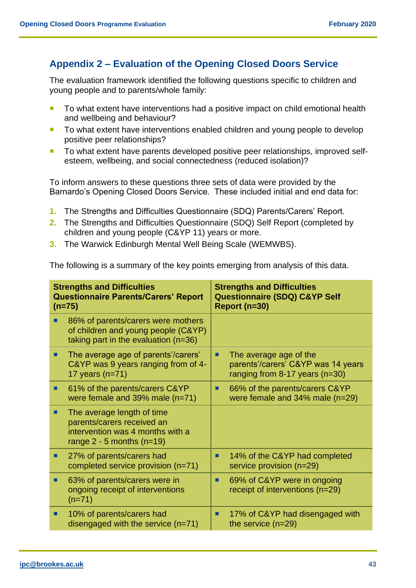# <span id="page-43-0"></span>**Appendix 2 – Evaluation of the Opening Closed Doors Service**

The evaluation framework identified the following questions specific to children and young people and to parents/whole family:

- To what extent have interventions had a positive impact on child emotional health and wellbeing and behaviour?
- To what extent have interventions enabled children and young people to develop positive peer relationships?
- To what extent have parents developed positive peer relationships, improved selfesteem, wellbeing, and social connectedness (reduced isolation)?

To inform answers to these questions three sets of data were provided by the Barnardo's Opening Closed Doors Service. These included initial and end data for:

- **1.** The Strengths and Difficulties Questionnaire (SDQ) Parents/Carers' Report.
- **2.** The Strengths and Difficulties Questionnaire (SDQ) Self Report (completed by children and young people (C&YP 11) years or more.
- **3.** The Warwick Edinburgh Mental Well Being Scale (WEMWBS).

The following is a summary of the key points emerging from analysis of this data.

| <b>Strengths and Difficulties</b><br><b>Questionnaire Parents/Carers' Report</b><br>$(n=75)$ |                                                                                                                             | <b>Strengths and Difficulties</b><br><b>Questionnaire (SDQ) C&amp;YP Self</b><br>Report (n=30) |                                                                                                      |
|----------------------------------------------------------------------------------------------|-----------------------------------------------------------------------------------------------------------------------------|------------------------------------------------------------------------------------------------|------------------------------------------------------------------------------------------------------|
|                                                                                              | 86% of parents/carers were mothers<br>of children and young people (C&YP)<br>taking part in the evaluation (n=36)           |                                                                                                |                                                                                                      |
|                                                                                              | The average age of parents'/carers'<br>C&YP was 9 years ranging from of 4-<br>17 years $(n=71)$                             | ■                                                                                              | The average age of the<br>parents'/carers' C&YP was 14 years<br>ranging from $8-17$ years ( $n=30$ ) |
|                                                                                              | 61% of the parents/carers C&YP<br>were female and $39\%$ male (n=71)                                                        | ш                                                                                              | 66% of the parents/carers C&YP<br>were female and 34% male (n=29)                                    |
| ■                                                                                            | The average length of time<br>parents/carers received an<br>intervention was 4 months with a<br>range $2 - 5$ months (n=19) |                                                                                                |                                                                                                      |
|                                                                                              | 27% of parents/carers had<br>completed service provision (n=71)                                                             | ■                                                                                              | 14% of the C&YP had completed<br>service provision (n=29)                                            |
| ■                                                                                            | 63% of parents/carers were in<br>ongoing receipt of interventions<br>$(n=71)$                                               | П                                                                                              | 69% of C&YP were in ongoing<br>receipt of interventions (n=29)                                       |
| ■                                                                                            | 10% of parents/carers had<br>disengaged with the service $(n=71)$                                                           | П                                                                                              | 17% of C&YP had disengaged with<br>the service $(n=29)$                                              |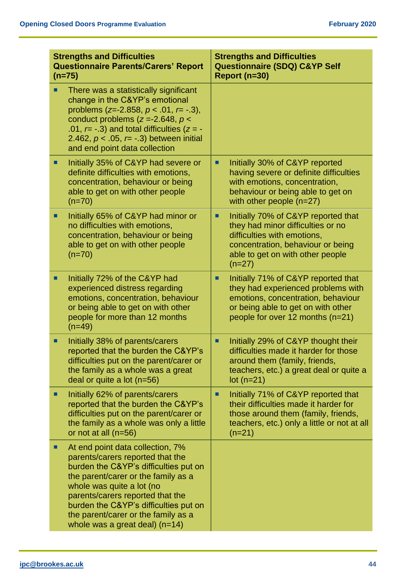| <b>Strengths and Difficulties</b><br><b>Questionnaire Parents/Carers' Report</b><br>$(n=75)$ |                                                                                                                                                                                                                                                                                                                                           | <b>Strengths and Difficulties</b><br><b>Questionnaire (SDQ) C&amp;YP Self</b><br>Report (n=30)                                                                                                    |  |
|----------------------------------------------------------------------------------------------|-------------------------------------------------------------------------------------------------------------------------------------------------------------------------------------------------------------------------------------------------------------------------------------------------------------------------------------------|---------------------------------------------------------------------------------------------------------------------------------------------------------------------------------------------------|--|
|                                                                                              | There was a statistically significant<br>change in the C&YP's emotional<br>problems ( $z=-2.858$ , $p < .01$ , $r=-.3$ ),<br>conduct problems ( $z = -2.648$ , $p <$<br>.01, $r = -0.3$ ) and total difficulties ( $z = -1$<br>2.462, $p < .05$ , $r = -.3$ ) between initial<br>and end point data collection                            |                                                                                                                                                                                                   |  |
|                                                                                              | Initially 35% of C&YP had severe or<br>definite difficulties with emotions,<br>concentration, behaviour or being<br>able to get on with other people<br>$(n=70)$                                                                                                                                                                          | Initially 30% of C&YP reported<br>п<br>having severe or definite difficulties<br>with emotions, concentration,<br>behaviour or being able to get on<br>with other people $(n=27)$                 |  |
| ٠                                                                                            | Initially 65% of C&YP had minor or<br>no difficulties with emotions,<br>concentration, behaviour or being<br>able to get on with other people<br>$(n=70)$                                                                                                                                                                                 | Initially 70% of C&YP reported that<br>п<br>they had minor difficulties or no<br>difficulties with emotions,<br>concentration, behaviour or being<br>able to get on with other people<br>$(n=27)$ |  |
| п                                                                                            | Initially 72% of the C&YP had<br>experienced distress regarding<br>emotions, concentration, behaviour<br>or being able to get on with other<br>people for more than 12 months<br>$(n=49)$                                                                                                                                                 | Initially 71% of C&YP reported that<br>■<br>they had experienced problems with<br>emotions, concentration, behaviour<br>or being able to get on with other<br>people for over 12 months (n=21)    |  |
| ٠                                                                                            | Initially 38% of parents/carers<br>reported that the burden the C&YP's<br>difficulties put on the parent/carer or<br>the family as a whole was a great<br>deal or quite a lot $(n=56)$                                                                                                                                                    | Initially 29% of C&YP thought their<br>ш<br>difficulties made it harder for those<br>around them (family, friends,<br>teachers, etc.) a great deal or quite a<br>$lot(n=21)$                      |  |
|                                                                                              | Initially 62% of parents/carers<br>reported that the burden the C&YP's<br>difficulties put on the parent/carer or<br>the family as a whole was only a little<br>or not at all $(n=56)$                                                                                                                                                    | Initially 71% of C&YP reported that<br>■<br>their difficulties made it harder for<br>those around them (family, friends,<br>teachers, etc.) only a little or not at all<br>$(n=21)$               |  |
|                                                                                              | At end point data collection, 7%<br>parents/carers reported that the<br>burden the C&YP's difficulties put on<br>the parent/carer or the family as a<br>whole was quite a lot (no<br>parents/carers reported that the<br>burden the C&YP's difficulties put on<br>the parent/carer or the family as a<br>whole was a great deal) $(n=14)$ |                                                                                                                                                                                                   |  |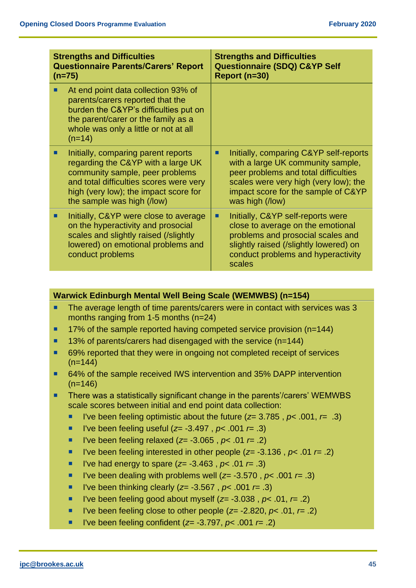| <b>Strengths and Difficulties</b><br><b>Questionnaire Parents/Carers' Report</b><br>$(n=75)$ |                                                                                                                                                                                                                                | <b>Strengths and Difficulties</b><br><b>Questionnaire (SDQ) C&amp;YP Self</b><br>Report (n=30) |                                                                                                                                                                                                                        |
|----------------------------------------------------------------------------------------------|--------------------------------------------------------------------------------------------------------------------------------------------------------------------------------------------------------------------------------|------------------------------------------------------------------------------------------------|------------------------------------------------------------------------------------------------------------------------------------------------------------------------------------------------------------------------|
|                                                                                              | At end point data collection 93% of<br>parents/carers reported that the<br>burden the C&YP's difficulties put on<br>the parent/carer or the family as a<br>whole was only a little or not at all<br>$(n=14)$                   |                                                                                                |                                                                                                                                                                                                                        |
|                                                                                              | Initially, comparing parent reports<br>regarding the C&YP with a large UK<br>community sample, peer problems<br>and total difficulties scores were very<br>high (very low); the impact score for<br>the sample was high (/low) |                                                                                                | Initially, comparing C&YP self-reports<br>with a large UK community sample,<br>peer problems and total difficulties<br>scales were very high (very low); the<br>impact score for the sample of C&YP<br>was high (/low) |
|                                                                                              | Initially, C&YP were close to average<br>on the hyperactivity and prosocial<br>scales and slightly raised (/slightly<br>lowered) on emotional problems and<br>conduct problems                                                 | ٠                                                                                              | Initially, C&YP self-reports were<br>close to average on the emotional<br>problems and prosocial scales and<br>slightly raised (/slightly lowered) on<br>conduct problems and hyperactivity<br>scales                  |

## **Warwick Edinburgh Mental Well Being Scale (WEMWBS) (n=154)**

- The average length of time parents/carers were in contact with services was 3 months ranging from 1-5 months (n=24)
- $\blacksquare$  17% of the sample reported having competed service provision (n=144)
- $\blacksquare$  13% of parents/carers had disengaged with the service (n=144)
- 69% reported that they were in ongoing not completed receipt of services  $(n=144)$
- 64% of the sample received IWS intervention and 35% DAPP intervention  $(n=146)$
- **There was a statistically significant change in the parents'/carers' WEMWBS** scale scores between initial and end point data collection:
	- I've been feeling optimistic about the future  $(z= 3.785, p< .001, r=.3)$
	- I've been feeling useful (*z*= -3.497, *p*< .001 *r*= .3)
	- I've been feeling relaxed (*z*= -3.065 , *p*< .01 *r*= .2)
	- I've been feeling interested in other people ( $z$ = -3.136,  $p$ < .01  $r$ = .2)
	- I've had energy to spare (*z*= -3.463, *p*< .01 *r*= .3)
	- I've been dealing with problems well  $(z= -3.570, p< .001$   $r= .3)$
	- I've been thinking clearly ( $z$ = -3.567,  $p$ < .001  $r$ = .3)
	- I've been feeling good about myself  $(z= -3.038, p< .01, r=.2)$
	- I've been feeling close to other people  $(z= -2.820, p< .01, r=.2)$
	- I've been feeling confident ( $z$ = -3.797,  $p$ < .001  $r$ = .2)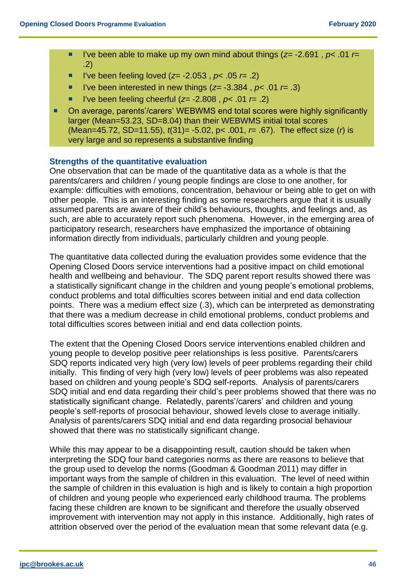- I've been able to make up my own mind about things (*z*= -2.691 , *p*< .01 *r*= .2)
- l've been feeling loved (*z*= -2.053, *p*< .05 *r*= .2)
- I've been interested in new things (*z*= -3.384 , *p*< .01 *r*= .3)
- I've been feeling cheerful  $(z= -2.808, p < .01$   $r = .2)$
- On average, parents'/carers' WEBWMS end total scores were highly significantly larger (Mean=53.23, SD=8.04) than their WEBWMS initial total scores (Mean=45.72, SD=11.55), *t*(31)= -5.02, p< .001, *r*= .67). The effect size (*r*) is very large and so represents a substantive finding

#### **Strengths of the quantitative evaluation**

One observation that can be made of the quantitative data as a whole is that the parents/carers and children / young people findings are close to one another, for example: difficulties with emotions, concentration, behaviour or being able to get on with other people. This is an interesting finding as some researchers argue that it is usually assumed parents are aware of their child's behaviours, thoughts, and feelings and, as such, are able to accurately report such phenomena. However, in the emerging area of participatory research, researchers have emphasized the importance of obtaining information directly from individuals, particularly children and young people.

The quantitative data collected during the evaluation provides some evidence that the Opening Closed Doors service interventions had a positive impact on child emotional health and wellbeing and behaviour. The SDQ parent report results showed there was a statistically significant change in the children and young people's emotional problems, conduct problems and total difficulties scores between initial and end data collection points. There was a medium effect size (.3), which can be interpreted as demonstrating that there was a medium decrease in child emotional problems, conduct problems and total difficulties scores between initial and end data collection points.

The extent that the Opening Closed Doors service interventions enabled children and young people to develop positive peer relationships is less positive. Parents/carers SDQ reports indicated very high (very low) levels of peer problems regarding their child initially. This finding of very high (very low) levels of peer problems was also repeated based on children and young people's SDQ self-reports. Analysis of parents/carers SDQ initial and end data regarding their child's peer problems showed that there was no statistically significant change. Relatedly, parents'/carers' and children and young people's self-reports of prosocial behaviour, showed levels close to average initially. Analysis of parents/carers SDQ initial and end data regarding prosocial behaviour showed that there was no statistically significant change.

While this may appear to be a disappointing result, caution should be taken when interpreting the SDQ four band categories norms as there are reasons to believe that the group used to develop the norms (Goodman & Goodman 2011) may differ in important ways from the sample of children in this evaluation. The level of need within the sample of children in this evaluation is high and is likely to contain a high proportion of children and young people who experienced early childhood trauma. The problems facing these children are known to be significant and therefore the usually observed improvement with intervention may not apply in this instance. Additionally, high rates of attrition observed over the period of the evaluation mean that some relevant data (e.g.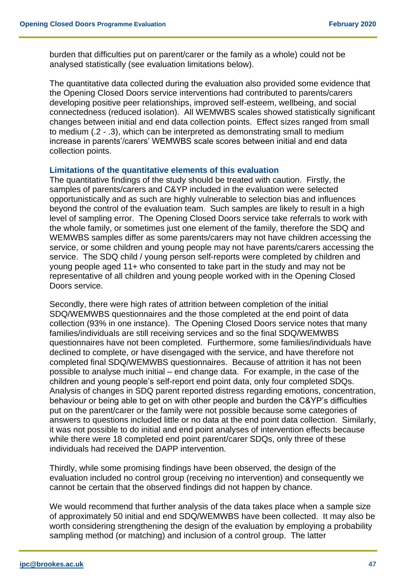burden that difficulties put on parent/carer or the family as a whole) could not be analysed statistically (see evaluation limitations below).

The quantitative data collected during the evaluation also provided some evidence that the Opening Closed Doors service interventions had contributed to parents/carers developing positive peer relationships, improved self-esteem, wellbeing, and social connectedness (reduced isolation). All WEMWBS scales showed statistically significant changes between initial and end data collection points. Effect sizes ranged from small to medium (.2 - .3), which can be interpreted as demonstrating small to medium increase in parents'/carers' WEMWBS scale scores between initial and end data collection points.

#### **Limitations of the quantitative elements of this evaluation**

The quantitative findings of the study should be treated with caution. Firstly, the samples of parents/carers and C&YP included in the evaluation were selected opportunistically and as such are highly vulnerable to selection bias and influences beyond the control of the evaluation team. Such samples are likely to result in a high level of sampling error. The Opening Closed Doors service take referrals to work with the whole family, or sometimes just one element of the family, therefore the SDQ and WEMWBS samples differ as some parents/carers may not have children accessing the service, or some children and young people may not have parents/carers accessing the service. The SDQ child / young person self-reports were completed by children and young people aged 11+ who consented to take part in the study and may not be representative of all children and young people worked with in the Opening Closed Doors service.

Secondly, there were high rates of attrition between completion of the initial SDQ/WEMWBS questionnaires and the those completed at the end point of data collection (93% in one instance). The Opening Closed Doors service notes that many families/individuals are still receiving services and so the final SDQ/WEMWBS questionnaires have not been completed. Furthermore, some families/individuals have declined to complete, or have disengaged with the service, and have therefore not completed final SDQ/WEMWBS questionnaires. Because of attrition it has not been possible to analyse much initial – end change data. For example, in the case of the children and young people's self-report end point data, only four completed SDQs. Analysis of changes in SDQ parent reported distress regarding emotions, concentration, behaviour or being able to get on with other people and burden the C&YP's difficulties put on the parent/carer or the family were not possible because some categories of answers to questions included little or no data at the end point data collection. Similarly, it was not possible to do initial and end point analyses of intervention effects because while there were 18 completed end point parent/carer SDQs, only three of these individuals had received the DAPP intervention.

Thirdly, while some promising findings have been observed, the design of the evaluation included no control group (receiving no intervention) and consequently we cannot be certain that the observed findings did not happen by chance.

We would recommend that further analysis of the data takes place when a sample size of approximately 50 initial and end SDQ/WEMWBS have been collected. It may also be worth considering strengthening the design of the evaluation by employing a probability sampling method (or matching) and inclusion of a control group. The latter